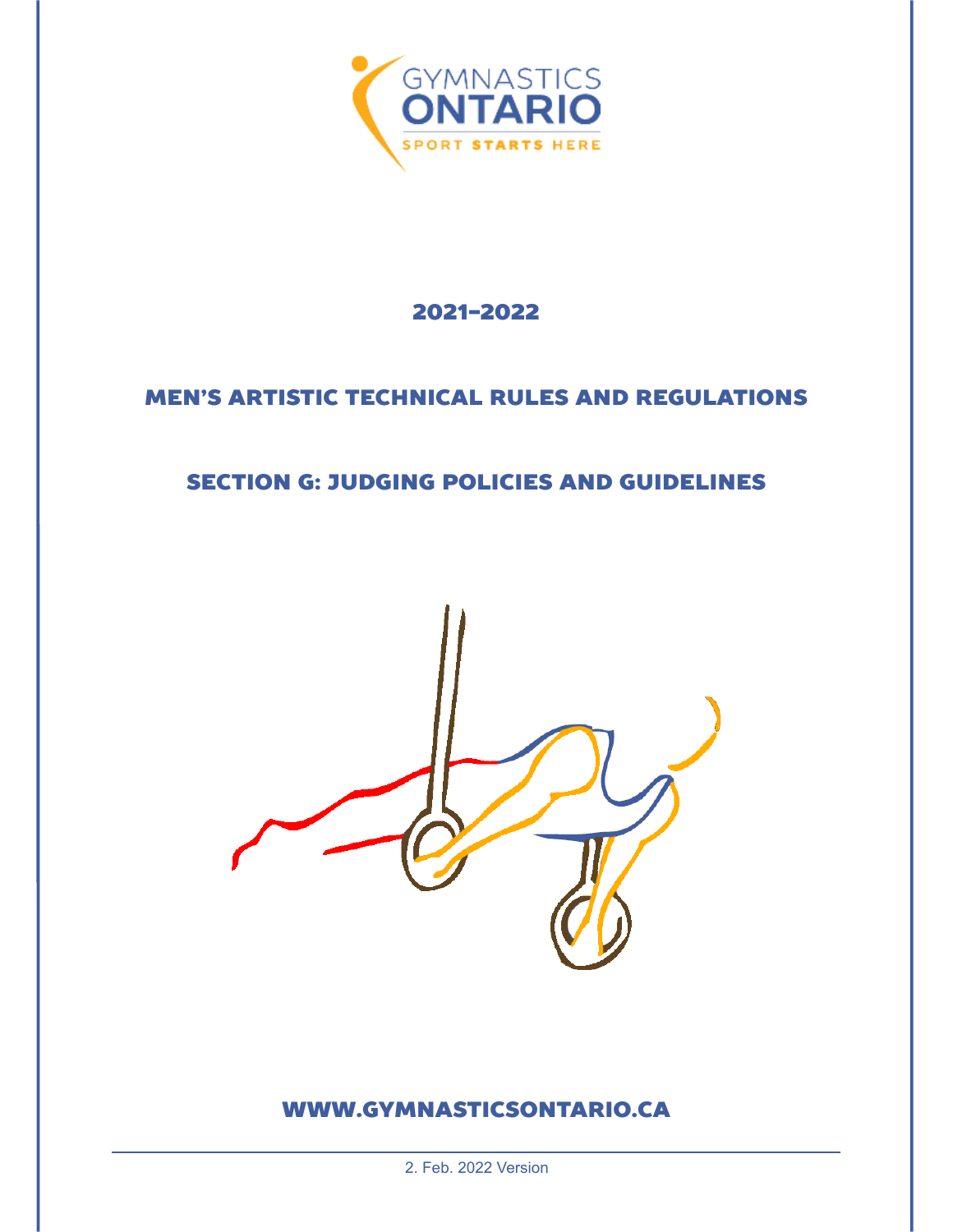

## 2021-2022

# MEN'S ARTISTIC TECHNICAL RULES AND REGULATIONS

## SECTION G: JUDGING POLICIES AND GUIDELINES



## WWW.GYMNASTICSONTARIO.CA

2. Feb. 2022 Version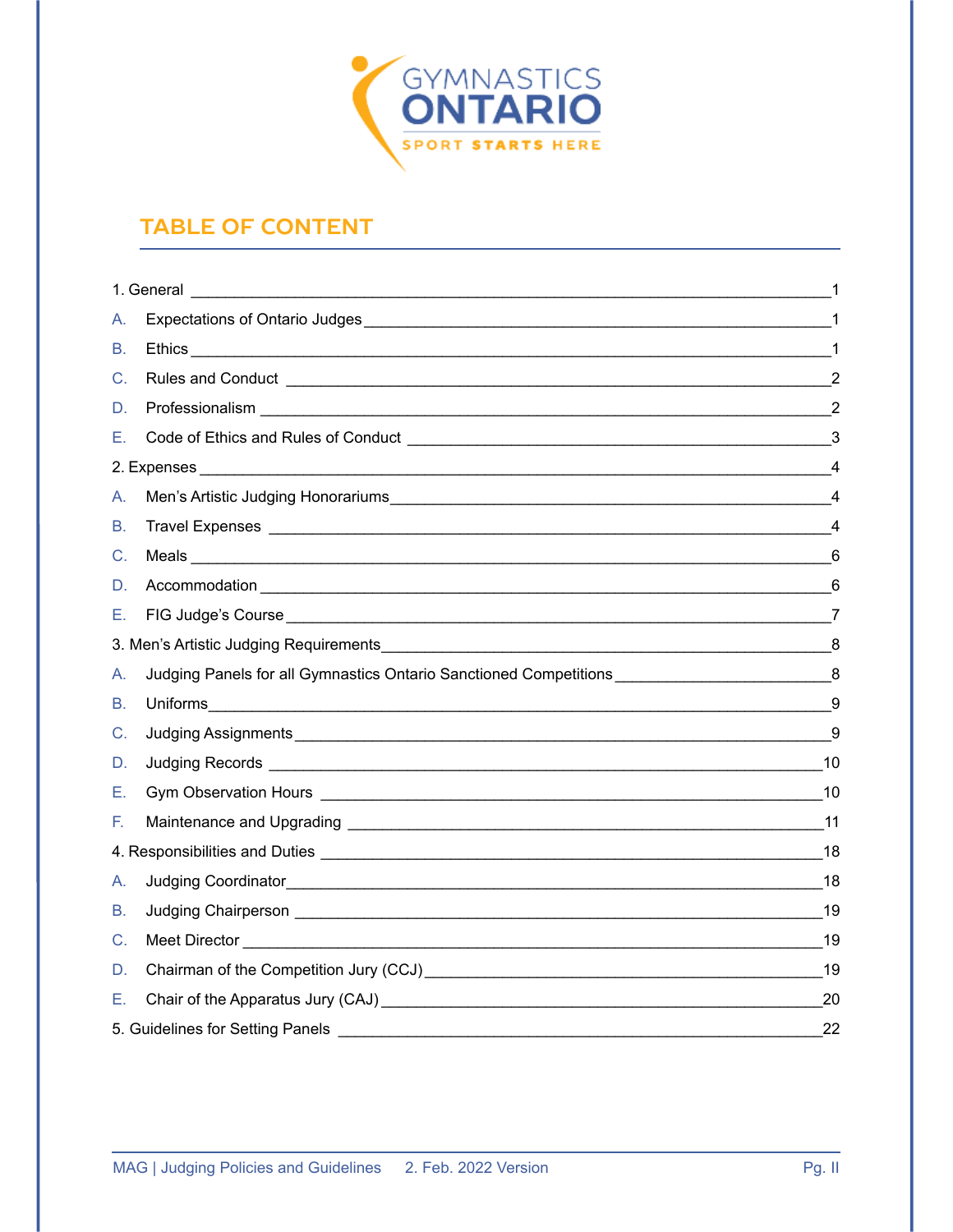

# **TABLE OF CONTENT**

| А. |                                                                                                                 |                |  |  |  |
|----|-----------------------------------------------------------------------------------------------------------------|----------------|--|--|--|
| В. |                                                                                                                 |                |  |  |  |
| C. |                                                                                                                 | $\overline{2}$ |  |  |  |
| D. |                                                                                                                 |                |  |  |  |
| Е. |                                                                                                                 | 3              |  |  |  |
|    |                                                                                                                 | 4              |  |  |  |
| А. |                                                                                                                 | $\overline{4}$ |  |  |  |
| В. |                                                                                                                 | 4              |  |  |  |
| C. |                                                                                                                 | 6              |  |  |  |
| D. |                                                                                                                 | 6              |  |  |  |
| Е. | FIG Judge's Course 2008 and 2009 and 2009 and 2009 and 2009 and 2009 and 2009 and 2009 and 2009 and 2009 and 20 |                |  |  |  |
|    |                                                                                                                 |                |  |  |  |
| A. | Judging Panels for all Gymnastics Ontario Sanctioned Competitions ____________________________8                 |                |  |  |  |
| В. | Uniforms                                                                                                        | 9              |  |  |  |
| C. |                                                                                                                 | 9              |  |  |  |
| D. |                                                                                                                 |                |  |  |  |
| Е. |                                                                                                                 |                |  |  |  |
| F. |                                                                                                                 |                |  |  |  |
|    |                                                                                                                 |                |  |  |  |
| А. |                                                                                                                 |                |  |  |  |
| В. |                                                                                                                 |                |  |  |  |
| C. |                                                                                                                 |                |  |  |  |
| D. | Chairman of the Competition Jury (CCJ) Chairman Chairman of the Competition Jury (CCJ)                          | $-19$          |  |  |  |
| Е. | Chair of the Apparatus Jury (CAJ) Later and the Chair of the Apparatus Jury (CAJ)                               | 20             |  |  |  |
|    |                                                                                                                 |                |  |  |  |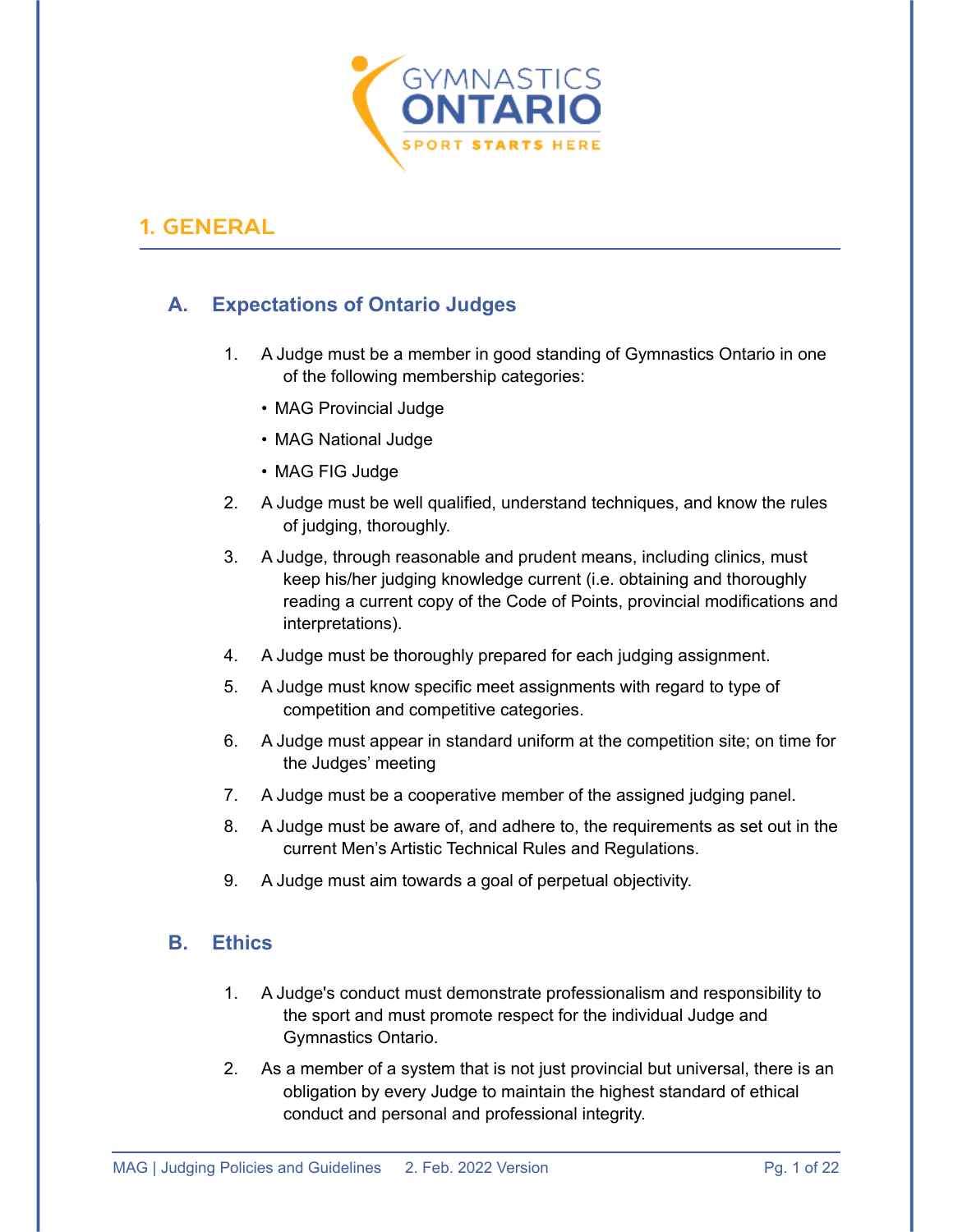

### <span id="page-2-0"></span>**1. GENERAL**

### <span id="page-2-1"></span>**A. Expectations of Ontario Judges**

- 1. A Judge must be a member in good standing of Gymnastics Ontario in one of the following membership categories:
	- MAG Provincial Judge
	- MAG National Judge
	- MAG FIG Judge
- 2. A Judge must be well qualified, understand techniques, and know the rules of judging, thoroughly.
- 3. A Judge, through reasonable and prudent means, including clinics, must keep his/her judging knowledge current (i.e. obtaining and thoroughly reading a current copy of the Code of Points, provincial modifications and interpretations).
- 4. A Judge must be thoroughly prepared for each judging assignment.
- 5. A Judge must know specific meet assignments with regard to type of competition and competitive categories.
- 6. A Judge must appear in standard uniform at the competition site; on time for the Judges' meeting
- 7. A Judge must be a cooperative member of the assigned judging panel.
- 8. A Judge must be aware of, and adhere to, the requirements as set out in the current Men's Artistic Technical Rules and Regulations.
- 9. A Judge must aim towards a goal of perpetual objectivity.

#### <span id="page-2-2"></span>**B. Ethics**

- 1. A Judge's conduct must demonstrate professionalism and responsibility to the sport and must promote respect for the individual Judge and Gymnastics Ontario.
- 2. As a member of a system that is not just provincial but universal, there is an obligation by every Judge to maintain the highest standard of ethical conduct and personal and professional integrity.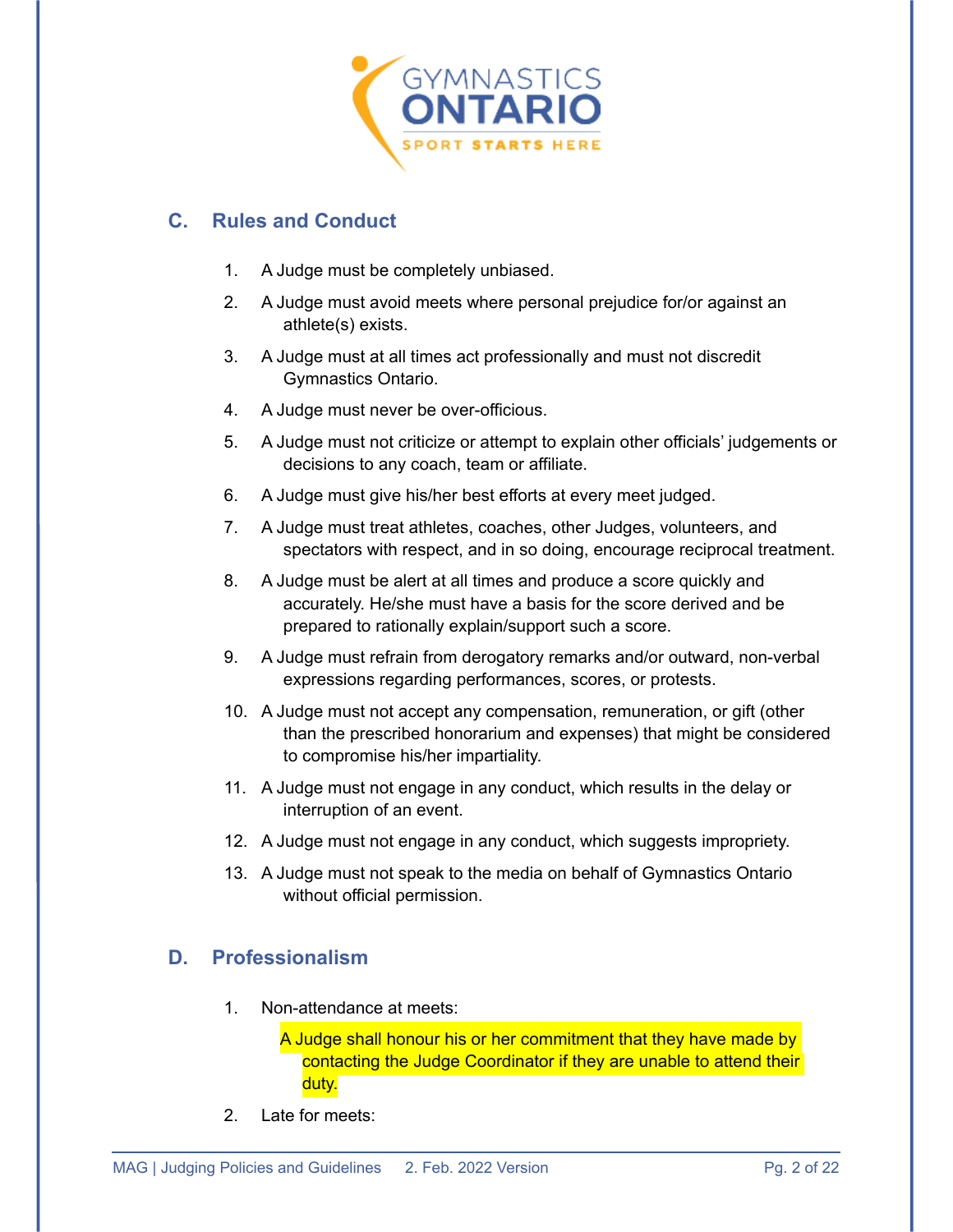

### <span id="page-3-0"></span>**C. Rules and Conduct**

- 1. A Judge must be completely unbiased.
- 2. A Judge must avoid meets where personal prejudice for/or against an athlete(s) exists.
- 3. A Judge must at all times act professionally and must not discredit Gymnastics Ontario.
- 4. A Judge must never be over-officious.
- 5. A Judge must not criticize or attempt to explain other officials' judgements or decisions to any coach, team or affiliate.
- 6. A Judge must give his/her best efforts at every meet judged.
- 7. A Judge must treat athletes, coaches, other Judges, volunteers, and spectators with respect, and in so doing, encourage reciprocal treatment.
- 8. A Judge must be alert at all times and produce a score quickly and accurately. He/she must have a basis for the score derived and be prepared to rationally explain/support such a score.
- 9. A Judge must refrain from derogatory remarks and/or outward, non-verbal expressions regarding performances, scores, or protests.
- 10. A Judge must not accept any compensation, remuneration, or gift (other than the prescribed honorarium and expenses) that might be considered to compromise his/her impartiality.
- 11. A Judge must not engage in any conduct, which results in the delay or interruption of an event.
- 12. A Judge must not engage in any conduct, which suggests impropriety.
- 13. A Judge must not speak to the media on behalf of Gymnastics Ontario without official permission.

#### <span id="page-3-1"></span>**D. Professionalism**

1. Non-attendance at meets:

A Judge shall honour his or her commitment that they have made by contacting the Judge Coordinator if they are unable to attend their duty.

2. Late for meets: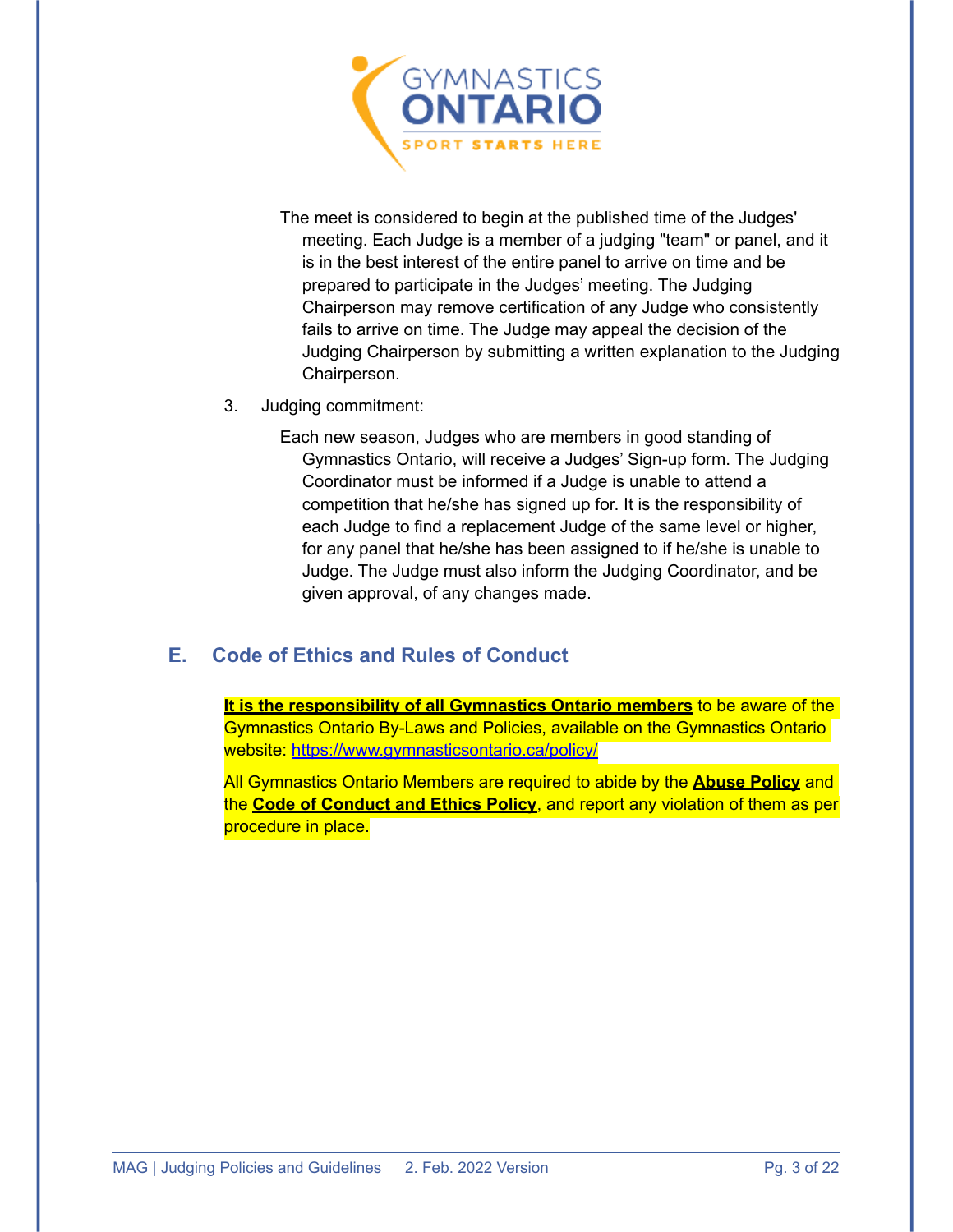

The meet is considered to begin at the published time of the Judges' meeting. Each Judge is a member of a judging "team" or panel, and it is in the best interest of the entire panel to arrive on time and be prepared to participate in the Judges' meeting. The Judging Chairperson may remove certification of any Judge who consistently fails to arrive on time. The Judge may appeal the decision of the Judging Chairperson by submitting a written explanation to the Judging Chairperson.

3. Judging commitment:

Each new season, Judges who are members in good standing of Gymnastics Ontario, will receive a Judges' Sign-up form. The Judging Coordinator must be informed if a Judge is unable to attend a competition that he/she has signed up for. It is the responsibility of each Judge to find a replacement Judge of the same level or higher, for any panel that he/she has been assigned to if he/she is unable to Judge. The Judge must also inform the Judging Coordinator, and be given approval, of any changes made.

#### <span id="page-4-0"></span>**E. Code of Ethics and Rules of Conduct**

**It is the responsibility of all Gymnastics Ontario members** to be aware of the Gymnastics Ontario By-Laws and Policies, available on the Gymnastics Ontario website:<https://www.gymnasticsontario.ca/policy/>

All Gymnastics Ontario Members are required to abide by the **Abuse Policy** and the **Code of Conduct and Ethics Policy**, and report any violation of them as per procedure in place.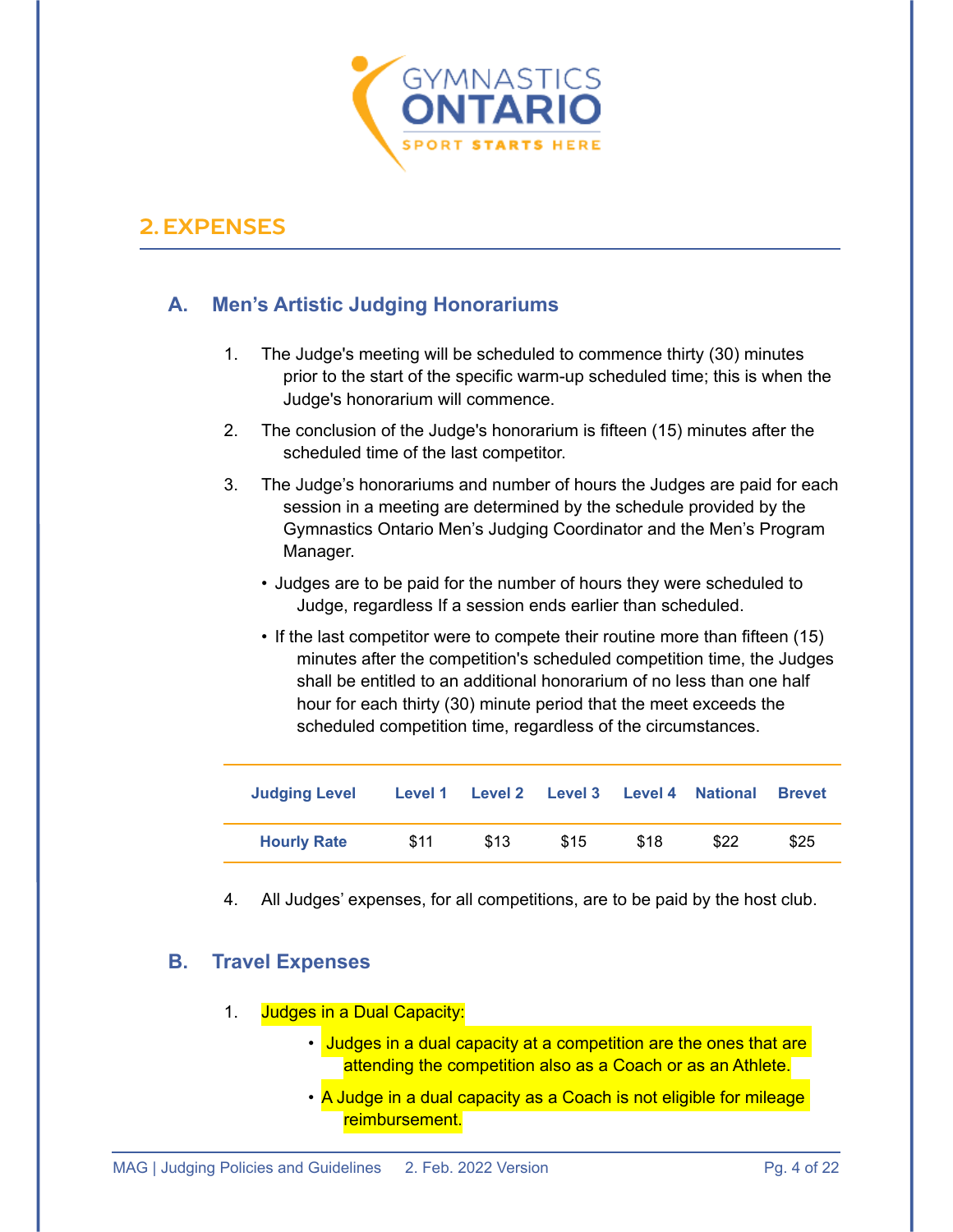

### <span id="page-5-0"></span>**2.EXPENSES**

#### <span id="page-5-1"></span>**A. Men's Artistic Judging Honorariums**

- 1. The Judge's meeting will be scheduled to commence thirty (30) minutes prior to the start of the specific warm-up scheduled time; this is when the Judge's honorarium will commence.
- 2. The conclusion of the Judge's honorarium is fifteen (15) minutes after the scheduled time of the last competitor.
- 3. The Judge's honorariums and number of hours the Judges are paid for each session in a meeting are determined by the schedule provided by the Gymnastics Ontario Men's Judging Coordinator and the Men's Program Manager.
	- Judges are to be paid for the number of hours they were scheduled to Judge, regardless If a session ends earlier than scheduled.
	- If the last competitor were to compete their routine more than fifteen (15) minutes after the competition's scheduled competition time, the Judges shall be entitled to an additional honorarium of no less than one half hour for each thirty (30) minute period that the meet exceeds the scheduled competition time, regardless of the circumstances.

| <b>Judging Level</b> |      |      | Level 1 Level 2 Level 3 Level 4 National |      |      | <b>Brevet</b> |
|----------------------|------|------|------------------------------------------|------|------|---------------|
| <b>Hourly Rate</b>   | \$11 | \$13 | \$15                                     | \$18 | \$22 | \$25          |

4. All Judges' expenses, for all competitions, are to be paid by the host club.

#### <span id="page-5-2"></span>**B. Travel Expenses**

- 1. Judges in a Dual Capacity:
	- Judges in a dual capacity at a competition are the ones that are attending the competition also as a Coach or as an Athlete.
	- A Judge in a dual capacity as a Coach is not eligible for mileage reimbursement.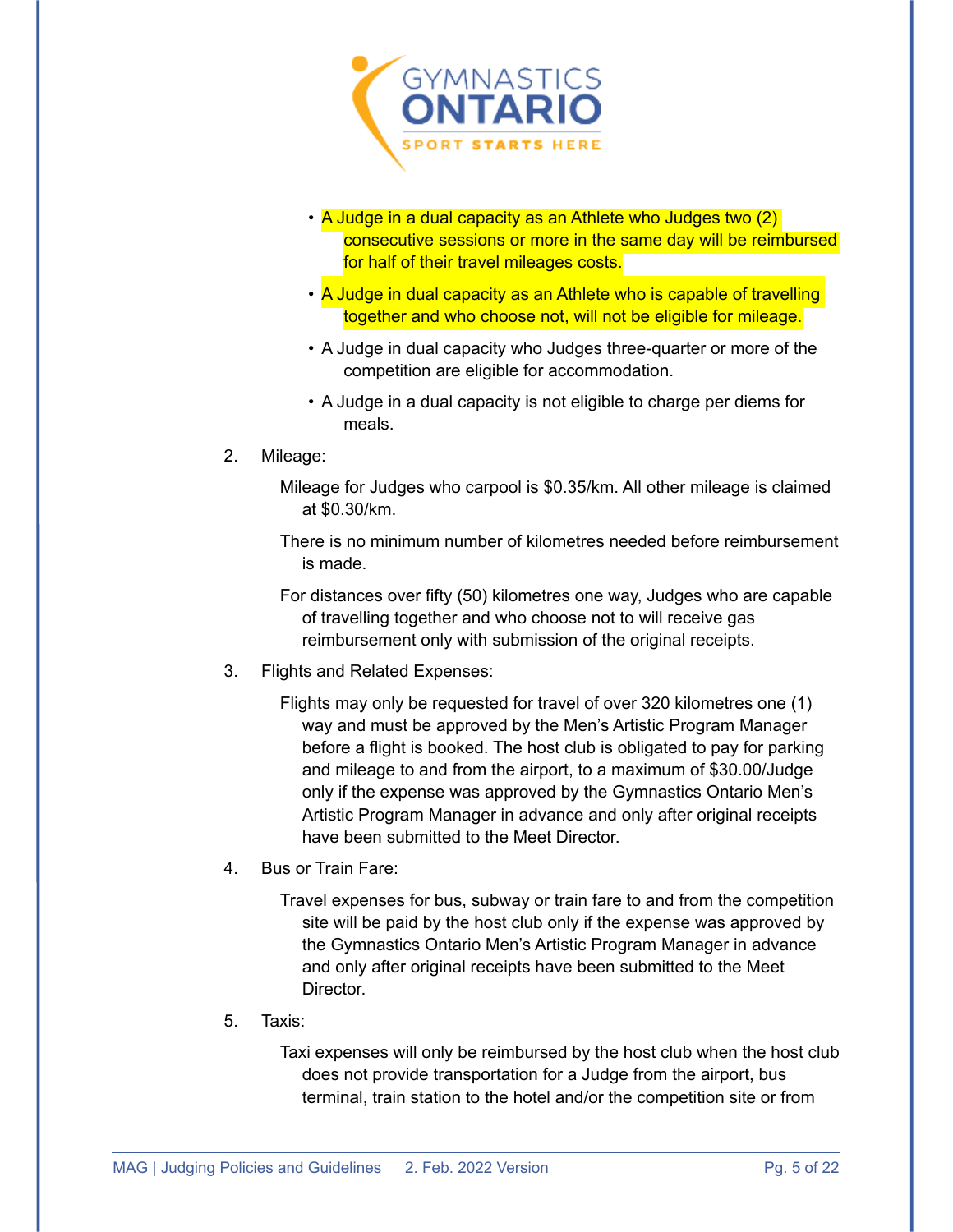

- A Judge in a dual capacity as an Athlete who Judges two (2) consecutive sessions or more in the same day will be reimbursed for half of their travel mileages costs.
- A Judge in dual capacity as an Athlete who is capable of travelling together and who choose not, will not be eligible for mileage.
- A Judge in dual capacity who Judges three-quarter or more of the competition are eligible for accommodation.
- A Judge in a dual capacity is not eligible to charge per diems for meals.

#### 2. Mileage:

Mileage for Judges who carpool is \$0.35/km. All other mileage is claimed at \$0.30/km.

There is no minimum number of kilometres needed before reimbursement is made.

For distances over fifty (50) kilometres one way, Judges who are capable of travelling together and who choose not to will receive gas reimbursement only with submission of the original receipts.

3. Flights and Related Expenses:

Flights may only be requested for travel of over 320 kilometres one (1) way and must be approved by the Men's Artistic Program Manager before a flight is booked. The host club is obligated to pay for parking and mileage to and from the airport, to a maximum of \$30.00/Judge only if the expense was approved by the Gymnastics Ontario Men's Artistic Program Manager in advance and only after original receipts have been submitted to the Meet Director.

4. Bus or Train Fare:

Travel expenses for bus, subway or train fare to and from the competition site will be paid by the host club only if the expense was approved by the Gymnastics Ontario Men's Artistic Program Manager in advance and only after original receipts have been submitted to the Meet Director.

5. Taxis:

Taxi expenses will only be reimbursed by the host club when the host club does not provide transportation for a Judge from the airport, bus terminal, train station to the hotel and/or the competition site or from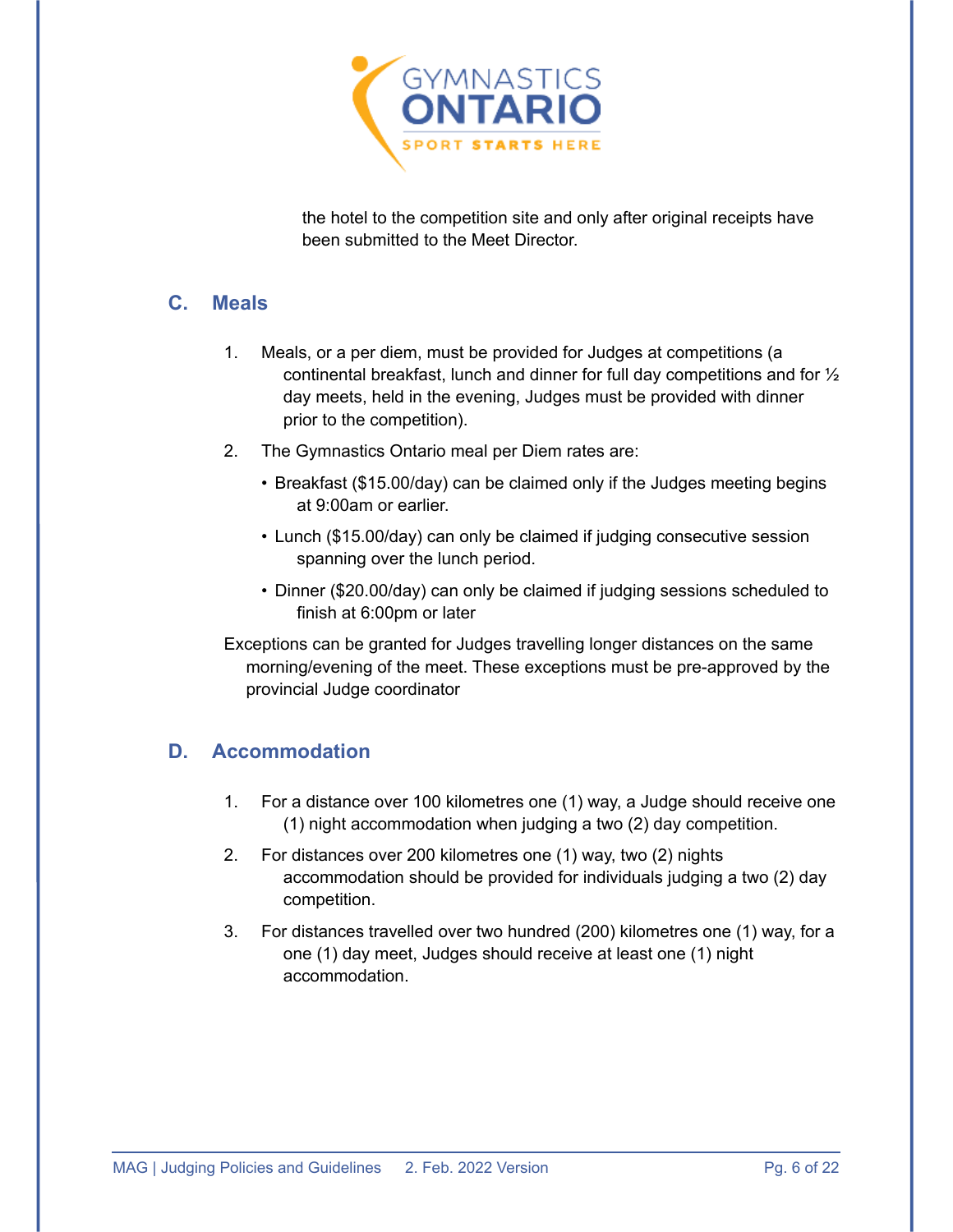

the hotel to the competition site and only after original receipts have been submitted to the Meet Director.

#### <span id="page-7-0"></span>**C. Meals**

- 1. Meals, or a per diem, must be provided for Judges at competitions (a continental breakfast, lunch and dinner for full day competitions and for ½ day meets, held in the evening, Judges must be provided with dinner prior to the competition).
- 2. The Gymnastics Ontario meal per Diem rates are:
	- Breakfast (\$15.00/day) can be claimed only if the Judges meeting begins at 9:00am or earlier.
	- Lunch (\$15.00/day) can only be claimed if judging consecutive session spanning over the lunch period.
	- Dinner (\$20.00/day) can only be claimed if judging sessions scheduled to finish at 6:00pm or later
- Exceptions can be granted for Judges travelling longer distances on the same morning/evening of the meet. These exceptions must be pre-approved by the provincial Judge coordinator

### <span id="page-7-1"></span>**D. Accommodation**

- 1. For a distance over 100 kilometres one (1) way, a Judge should receive one (1) night accommodation when judging a two (2) day competition.
- 2. For distances over 200 kilometres one (1) way, two (2) nights accommodation should be provided for individuals judging a two (2) day competition.
- 3. For distances travelled over two hundred (200) kilometres one (1) way, for a one (1) day meet, Judges should receive at least one (1) night accommodation.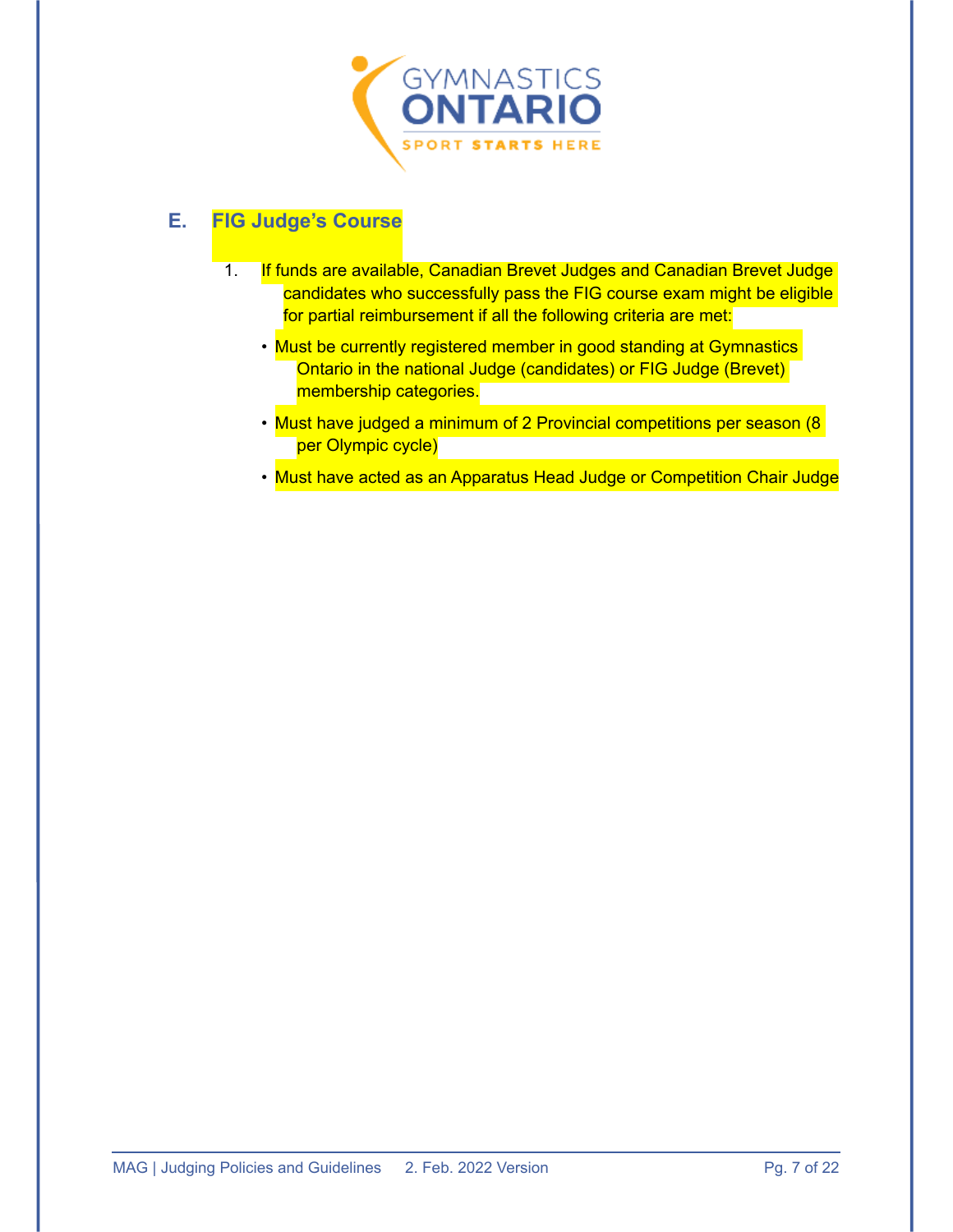

### <span id="page-8-0"></span>**E. FIG Judge's Course**

- 1. If funds are available, Canadian Brevet Judges and Canadian Brevet Judge candidates who successfully pass the FIG course exam might be eligible for partial reimbursement if all the following criteria are met:
	- Must be currently registered member in good standing at Gymnastics Ontario in the national Judge (candidates) or FIG Judge (Brevet) membership categories.
	- Must have judged a minimum of 2 Provincial competitions per season (8 per Olympic cycle)
	- Must have acted as an Apparatus Head Judge or Competition Chair Judge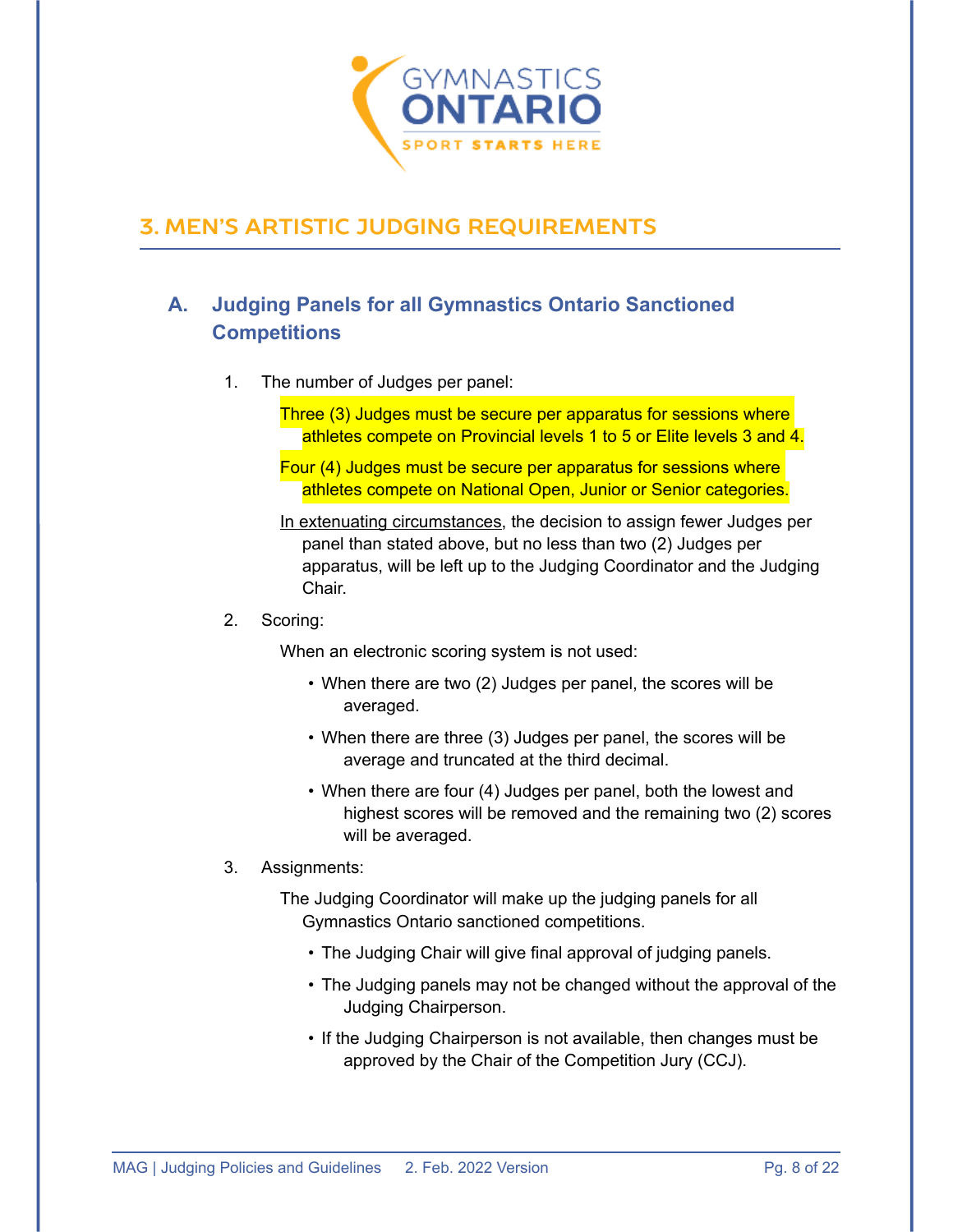

## <span id="page-9-0"></span>**3. MEN'S ARTISTIC JUDGING REQUIREMENTS**

### <span id="page-9-1"></span>**A. Judging Panels for all Gymnastics Ontario Sanctioned Competitions**

- 1. The number of Judges per panel:
	- Three (3) Judges must be secure per apparatus for sessions where athletes compete on Provincial levels 1 to 5 or Elite levels 3 and 4.

Four (4) Judges must be secure per apparatus for sessions where athletes compete on National Open, Junior or Senior categories.

- In extenuating circumstances, the decision to assign fewer Judges per panel than stated above, but no less than two (2) Judges per apparatus, will be left up to the Judging Coordinator and the Judging Chair.
- 2. Scoring:

When an electronic scoring system is not used:

- When there are two (2) Judges per panel, the scores will be averaged.
- When there are three (3) Judges per panel, the scores will be average and truncated at the third decimal.
- When there are four (4) Judges per panel, both the lowest and highest scores will be removed and the remaining two (2) scores will be averaged.
- 3. Assignments:

The Judging Coordinator will make up the judging panels for all Gymnastics Ontario sanctioned competitions.

- The Judging Chair will give final approval of judging panels.
- The Judging panels may not be changed without the approval of the Judging Chairperson.
- If the Judging Chairperson is not available, then changes must be approved by the Chair of the Competition Jury (CCJ).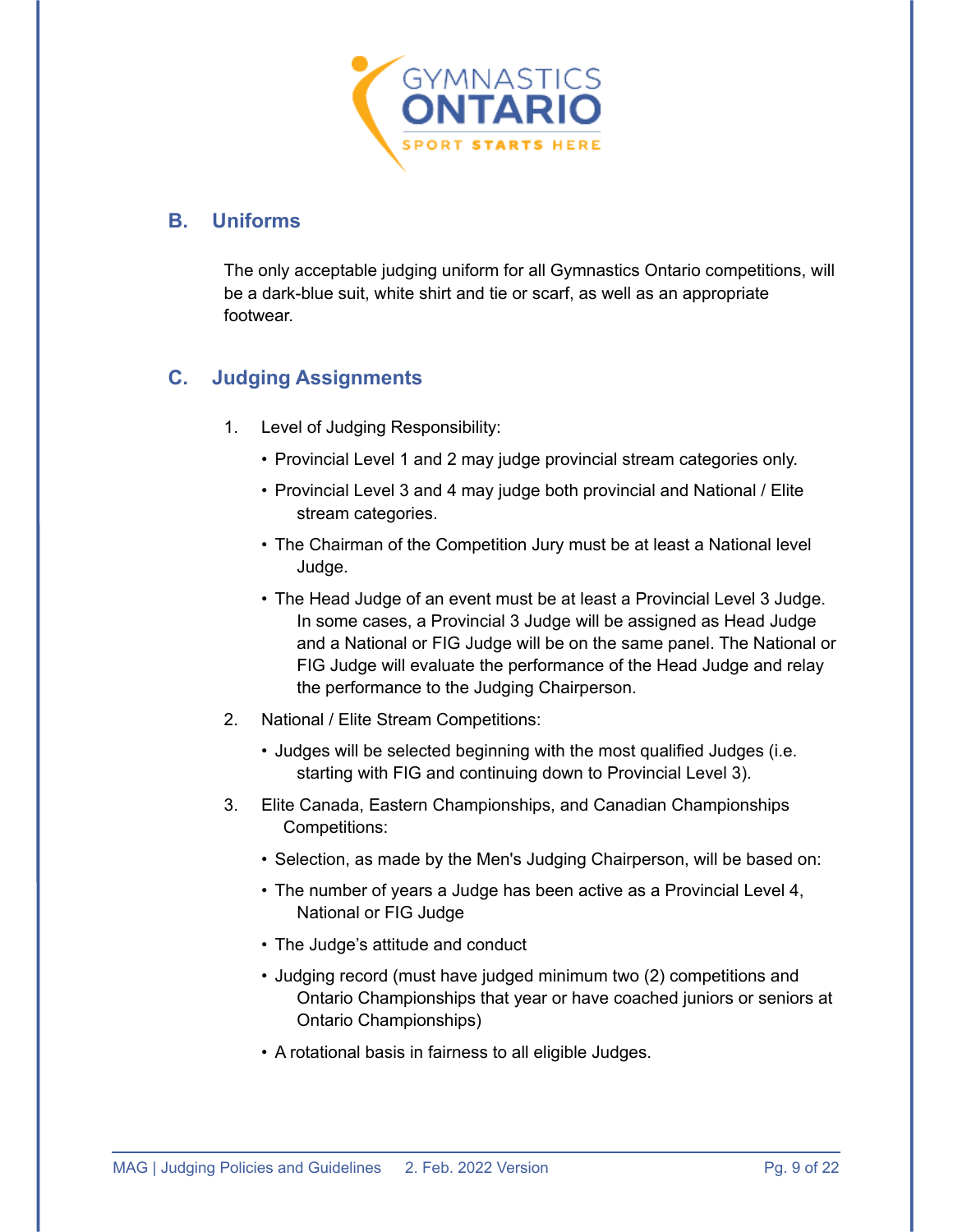

#### <span id="page-10-0"></span>**B. Uniforms**

The only acceptable judging uniform for all Gymnastics Ontario competitions, will be a dark-blue suit, white shirt and tie or scarf, as well as an appropriate footwear.

### <span id="page-10-1"></span>**C. Judging Assignments**

- 1. Level of Judging Responsibility:
	- Provincial Level 1 and 2 may judge provincial stream categories only.
	- Provincial Level 3 and 4 may judge both provincial and National / Elite stream categories.
	- The Chairman of the Competition Jury must be at least a National level Judge.
	- The Head Judge of an event must be at least a Provincial Level 3 Judge. In some cases, a Provincial 3 Judge will be assigned as Head Judge and a National or FIG Judge will be on the same panel. The National or FIG Judge will evaluate the performance of the Head Judge and relay the performance to the Judging Chairperson.
- 2. National / Elite Stream Competitions:
	- Judges will be selected beginning with the most qualified Judges (i.e. starting with FIG and continuing down to Provincial Level 3).
- 3. Elite Canada, Eastern Championships, and Canadian Championships Competitions:
	- Selection, as made by the Men's Judging Chairperson, will be based on:
	- The number of years a Judge has been active as a Provincial Level 4, National or FIG Judge
	- The Judge's attitude and conduct
	- Judging record (must have judged minimum two (2) competitions and Ontario Championships that year or have coached juniors or seniors at Ontario Championships)
	- A rotational basis in fairness to all eligible Judges.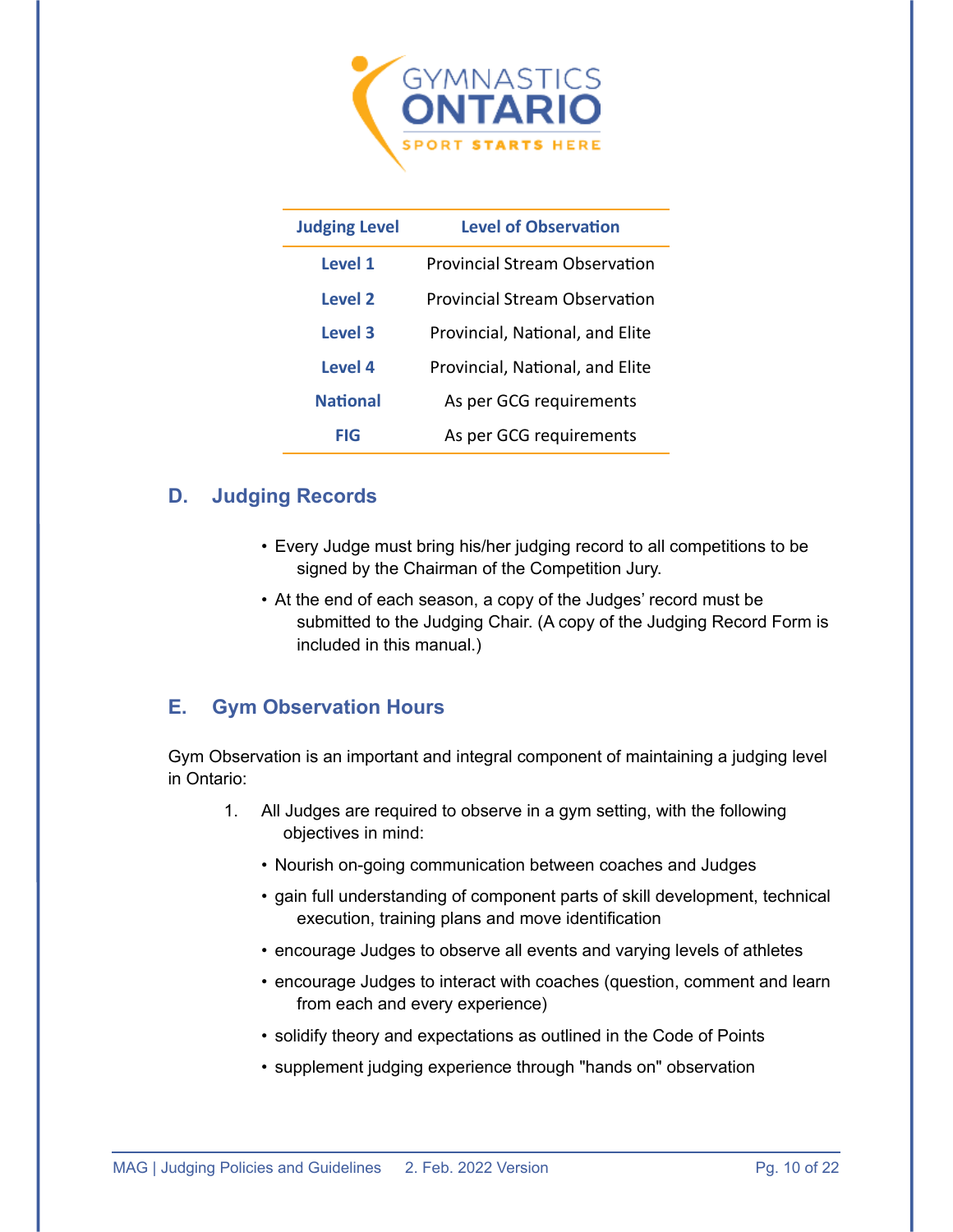

| <b>Judging Level</b> | <b>Level of Observation</b>          |  |  |  |
|----------------------|--------------------------------------|--|--|--|
| Level 1              | <b>Provincial Stream Observation</b> |  |  |  |
| Level 2              | Provincial Stream Observation        |  |  |  |
| Level 3              | Provincial, National, and Elite      |  |  |  |
| Level 4              | Provincial, National, and Elite      |  |  |  |
| <b>National</b>      | As per GCG requirements              |  |  |  |
| FIG                  | As per GCG requirements              |  |  |  |

#### <span id="page-11-0"></span>**D. Judging Records**

- Every Judge must bring his/her judging record to all competitions to be signed by the Chairman of the Competition Jury.
- At the end of each season, a copy of the Judges' record must be submitted to the Judging Chair. (A copy of the Judging Record Form is included in this manual.)

#### <span id="page-11-1"></span>**E. Gym Observation Hours**

Gym Observation is an important and integral component of maintaining a judging level in Ontario:

- 1. All Judges are required to observe in a gym setting, with the following objectives in mind:
	- Nourish on-going communication between coaches and Judges
	- gain full understanding of component parts of skill development, technical execution, training plans and move identification
	- encourage Judges to observe all events and varying levels of athletes
	- encourage Judges to interact with coaches (question, comment and learn from each and every experience)
	- solidify theory and expectations as outlined in the Code of Points
	- supplement judging experience through "hands on" observation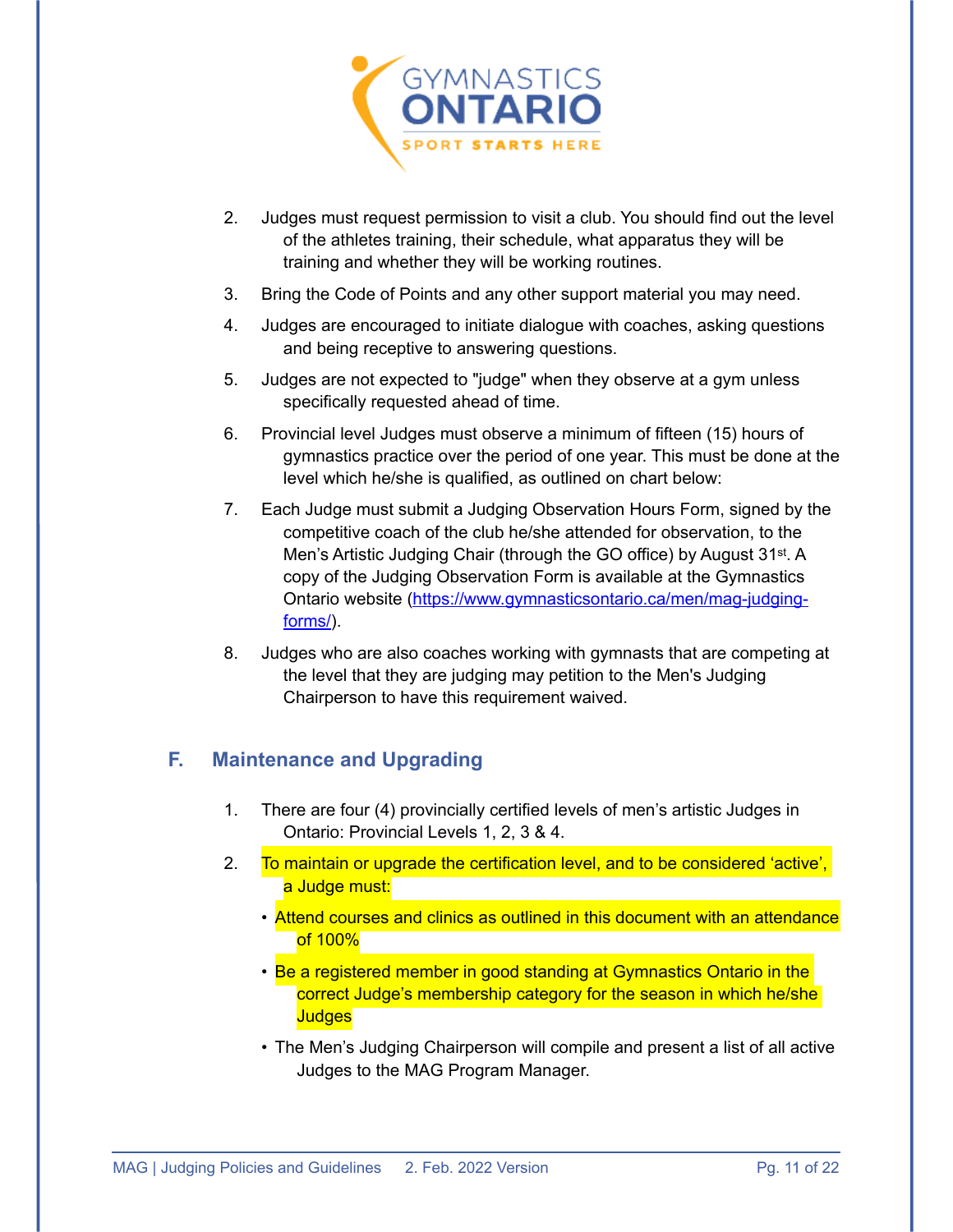

- 2. Judges must request permission to visit a club. You should find out the level of the athletes training, their schedule, what apparatus they will be training and whether they will be working routines.
- 3. Bring the Code of Points and any other support material you may need.
- 4. Judges are encouraged to initiate dialogue with coaches, asking questions and being receptive to answering questions.
- 5. Judges are not expected to "judge" when they observe at a gym unless specifically requested ahead of time.
- 6. Provincial level Judges must observe a minimum of fifteen (15) hours of gymnastics practice over the period of one year. This must be done at the level which he/she is qualified, as outlined on chart below:
- 7. Each Judge must submit a Judging Observation Hours Form, signed by the competitive coach of the club he/she attended for observation, to the Men's Artistic Judging Chair (through the GO office) by August 31st. A copy of the Judging Observation Form is available at the Gymnastics Ontario website [\(https://www.gymnasticsontario.ca/men/mag-judging](https://www.gymnasticsontario.ca/men/mag-judging-forms/)[forms/\)](https://www.gymnasticsontario.ca/men/mag-judging-forms/).
- 8. Judges who are also coaches working with gymnasts that are competing at the level that they are judging may petition to the Men's Judging Chairperson to have this requirement waived.

### <span id="page-12-0"></span>**F. Maintenance and Upgrading**

- 1. There are four (4) provincially certified levels of men's artistic Judges in Ontario: Provincial Levels 1, 2, 3 & 4.
- 2. To maintain or upgrade the certification level, and to be considered 'active', a Judge must:
	- Attend courses and clinics as outlined in this document with an attendance of 100%
	- Be a registered member in good standing at Gymnastics Ontario in the correct Judge's membership category for the season in which he/she **Judges**
	- The Men's Judging Chairperson will compile and present a list of all active Judges to the MAG Program Manager.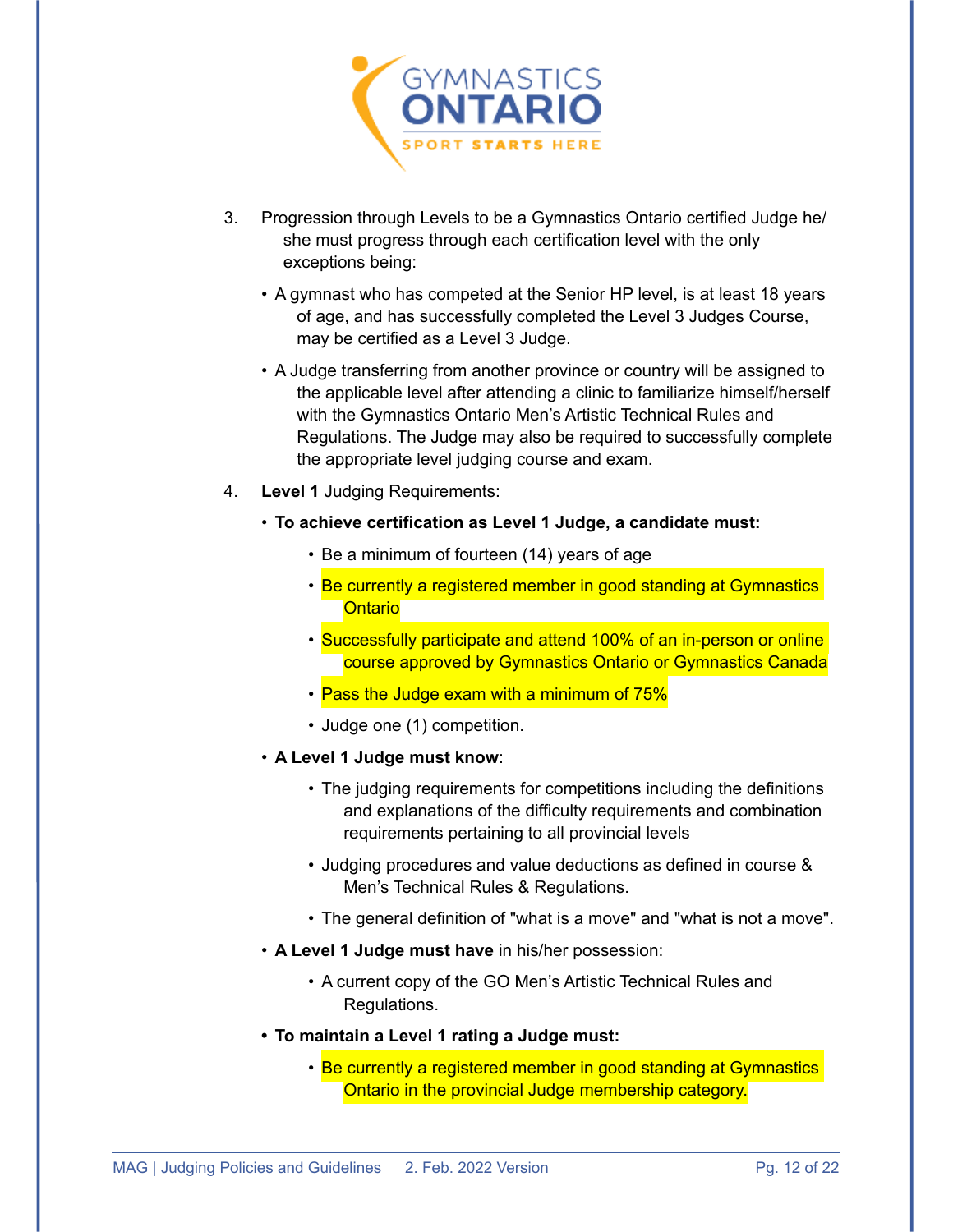

- 3. Progression through Levels to be a Gymnastics Ontario certified Judge he/ she must progress through each certification level with the only exceptions being:
	- A gymnast who has competed at the Senior HP level, is at least 18 years of age, and has successfully completed the Level 3 Judges Course, may be certified as a Level 3 Judge.
	- A Judge transferring from another province or country will be assigned to the applicable level after attending a clinic to familiarize himself/herself with the Gymnastics Ontario Men's Artistic Technical Rules and Regulations. The Judge may also be required to successfully complete the appropriate level judging course and exam.
- 4. **Level 1** Judging Requirements:
	- **To achieve certification as Level 1 Judge, a candidate must:**
		- Be a minimum of fourteen (14) years of age
		- Be currently a registered member in good standing at Gymnastics **Ontario**
		- Successfully participate and attend 100% of an in-person or online course approved by Gymnastics Ontario or Gymnastics Canada
		- Pass the Judge exam with a minimum of 75%
		- Judge one (1) competition.
	- **A Level 1 Judge must know**:
		- The judging requirements for competitions including the definitions and explanations of the difficulty requirements and combination requirements pertaining to all provincial levels
		- Judging procedures and value deductions as defined in course & Men's Technical Rules & Regulations.
		- The general definition of "what is a move" and "what is not a move".
	- **A Level 1 Judge must have** in his/her possession:
		- A current copy of the GO Men's Artistic Technical Rules and Regulations.
	- **• To maintain a Level 1 rating a Judge must:**
		- Be currently a registered member in good standing at Gymnastics Ontario in the provincial Judge membership category.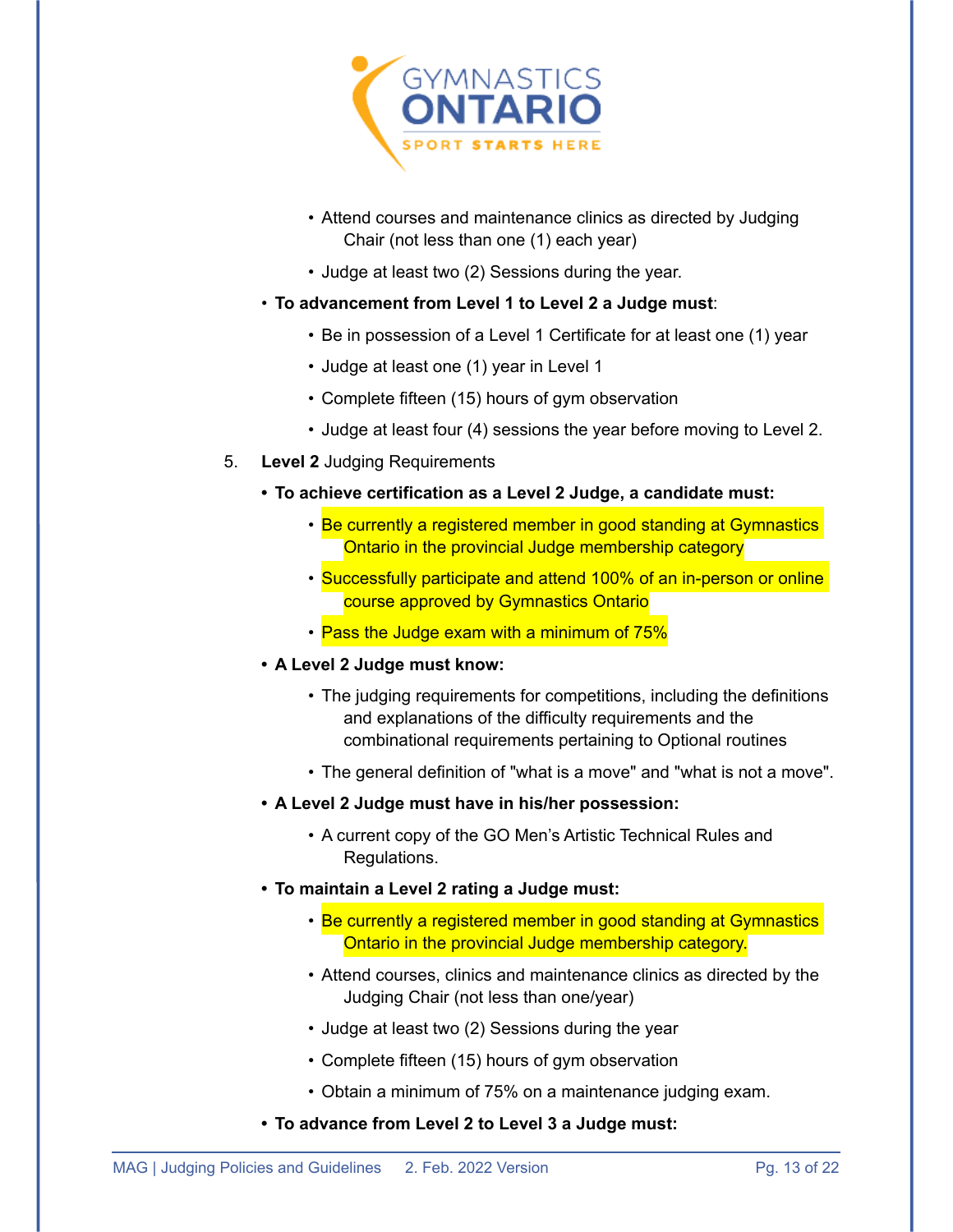

- Attend courses and maintenance clinics as directed by Judging Chair (not less than one (1) each year)
- Judge at least two (2) Sessions during the year.
- **To advancement from Level 1 to Level 2 a Judge must**:
	- Be in possession of a Level 1 Certificate for at least one (1) year
	- Judge at least one (1) year in Level 1
	- Complete fifteen (15) hours of gym observation
	- Judge at least four (4) sessions the year before moving to Level 2.
- 5. **Level 2** Judging Requirements
	- **• To achieve certification as a Level 2 Judge, a candidate must:**
		- Be currently a registered member in good standing at Gymnastics Ontario in the provincial Judge membership category
		- Successfully participate and attend 100% of an in-person or online course approved by Gymnastics Ontario
		- Pass the Judge exam with a minimum of 75%
	- **• A Level 2 Judge must know:**
		- The judging requirements for competitions, including the definitions and explanations of the difficulty requirements and the combinational requirements pertaining to Optional routines
		- The general definition of "what is a move" and "what is not a move".
	- **• A Level 2 Judge must have in his/her possession:**
		- A current copy of the GO Men's Artistic Technical Rules and Regulations.
	- **• To maintain a Level 2 rating a Judge must:**
		- Be currently a registered member in good standing at Gymnastics Ontario in the provincial Judge membership category.
		- Attend courses, clinics and maintenance clinics as directed by the Judging Chair (not less than one/year)
		- Judge at least two (2) Sessions during the year
		- Complete fifteen (15) hours of gym observation
		- Obtain a minimum of 75% on a maintenance judging exam.
	- **• To advance from Level 2 to Level 3 a Judge must:**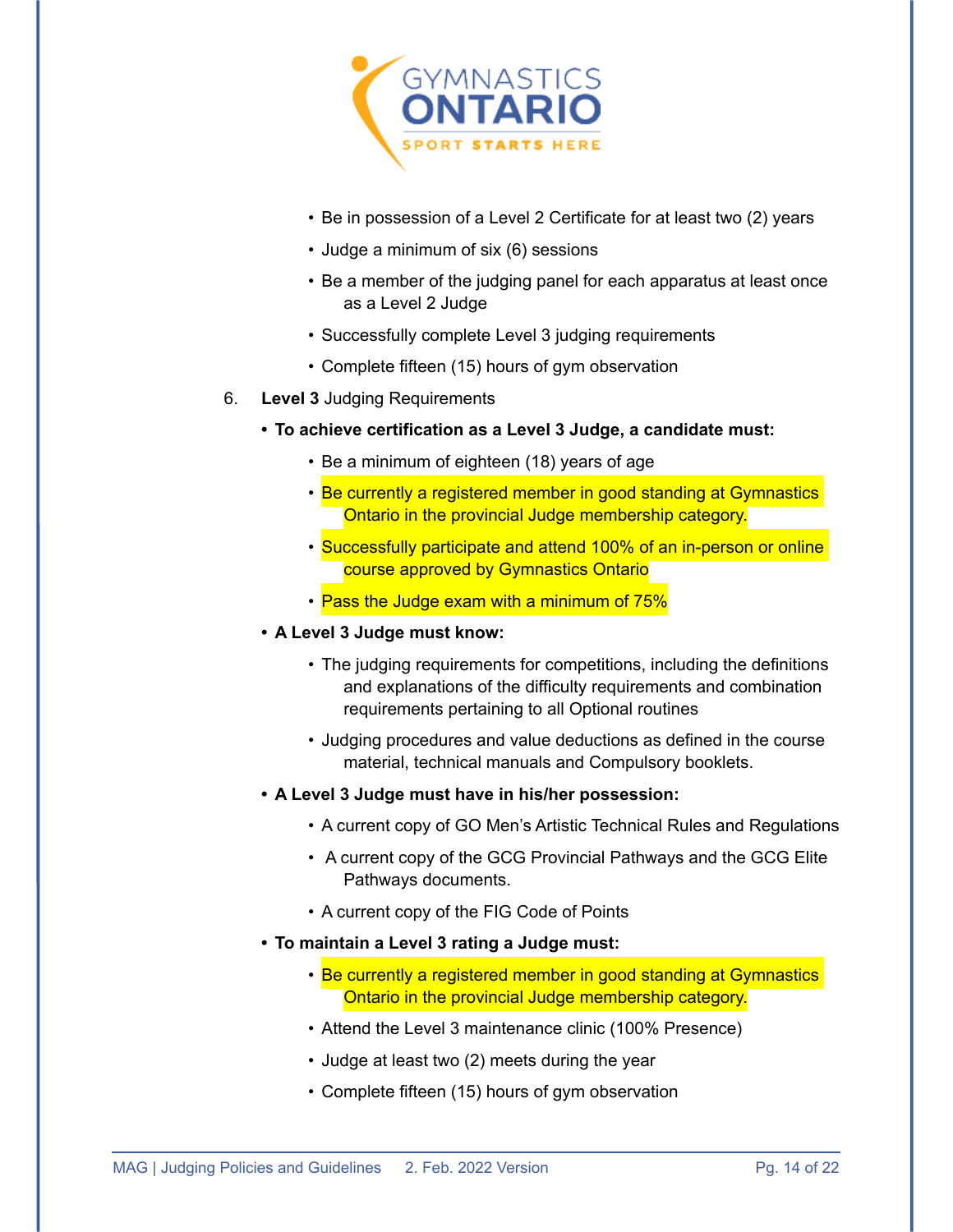

- Be in possession of a Level 2 Certificate for at least two (2) years
- Judge a minimum of six (6) sessions
- Be a member of the judging panel for each apparatus at least once as a Level 2 Judge
- Successfully complete Level 3 judging requirements
- Complete fifteen (15) hours of gym observation
- 6. **Level 3** Judging Requirements
	- **• To achieve certification as a Level 3 Judge, a candidate must:**
		- Be a minimum of eighteen (18) years of age
		- Be currently a registered member in good standing at Gymnastics Ontario in the provincial Judge membership category.
		- Successfully participate and attend 100% of an in-person or online course approved by Gymnastics Ontario
		- Pass the Judge exam with a minimum of 75%
	- **• A Level 3 Judge must know:**
		- The judging requirements for competitions, including the definitions and explanations of the difficulty requirements and combination requirements pertaining to all Optional routines
		- Judging procedures and value deductions as defined in the course material, technical manuals and Compulsory booklets.
	- **• A Level 3 Judge must have in his/her possession:**
		- A current copy of GO Men's Artistic Technical Rules and Regulations
		- A current copy of the GCG Provincial Pathways and the GCG Elite Pathways documents.
		- A current copy of the FIG Code of Points
	- **• To maintain a Level 3 rating a Judge must:**
		- Be currently a registered member in good standing at Gymnastics Ontario in the provincial Judge membership category.
		- Attend the Level 3 maintenance clinic (100% Presence)
		- Judge at least two (2) meets during the year
		- Complete fifteen (15) hours of gym observation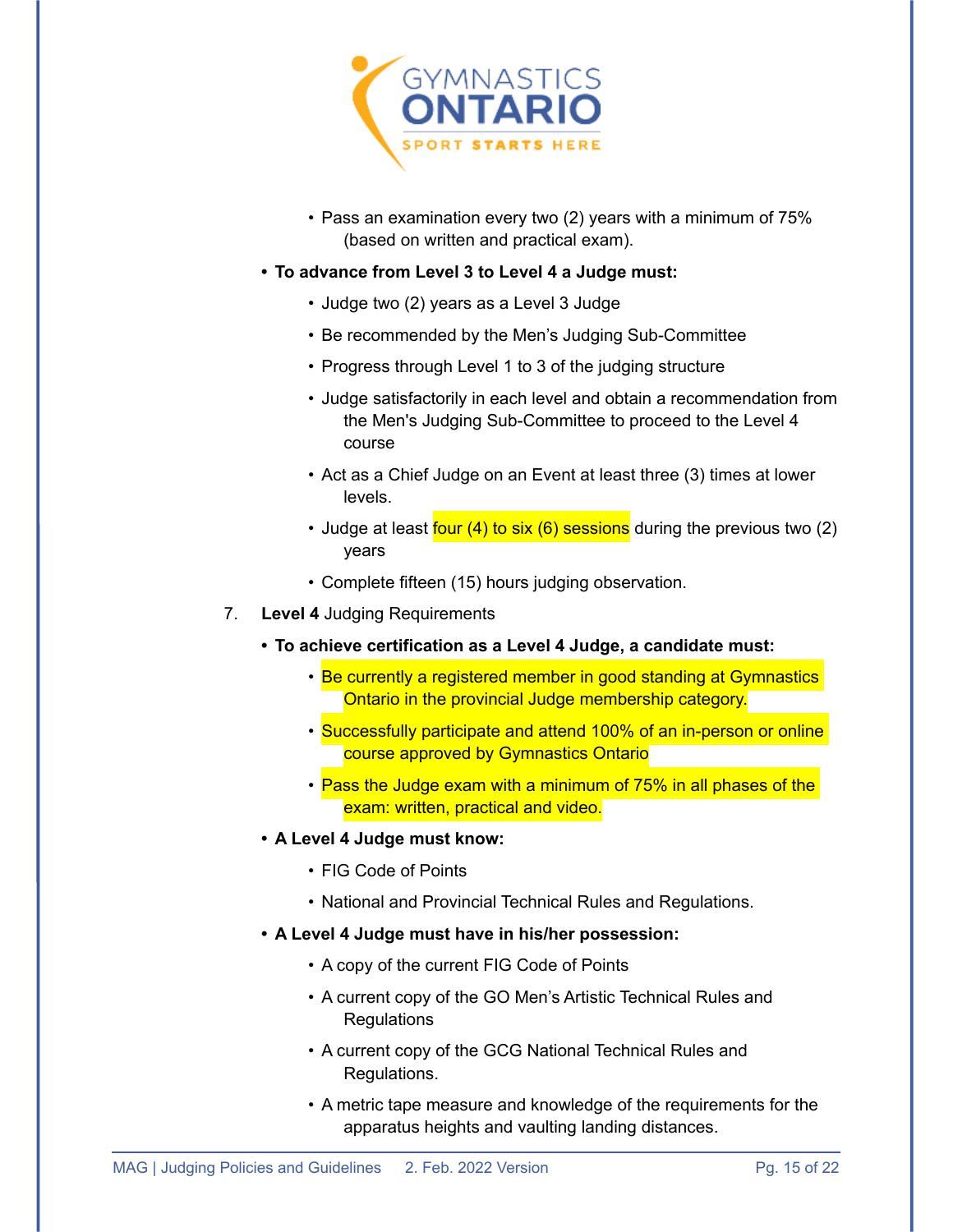

- Pass an examination every two (2) years with a minimum of 75% (based on written and practical exam).
- **• To advance from Level 3 to Level 4 a Judge must:**
	- Judge two (2) years as a Level 3 Judge
	- Be recommended by the Men's Judging Sub-Committee
	- Progress through Level 1 to 3 of the judging structure
	- Judge satisfactorily in each level and obtain a recommendation from the Men's Judging Sub-Committee to proceed to the Level 4 course
	- Act as a Chief Judge on an Event at least three (3) times at lower levels.
	- Judge at least four (4) to six (6) sessions during the previous two (2) years
	- Complete fifteen (15) hours judging observation.
- 7. **Level 4** Judging Requirements
	- **• To achieve certification as a Level 4 Judge, a candidate must:** 
		- Be currently a registered member in good standing at Gymnastics Ontario in the provincial Judge membership category.
		- Successfully participate and attend 100% of an in-person or online course approved by Gymnastics Ontario
		- Pass the Judge exam with a minimum of 75% in all phases of the exam: written, practical and video.
	- **• A Level 4 Judge must know:**
		- FIG Code of Points
		- National and Provincial Technical Rules and Regulations.
	- **• A Level 4 Judge must have in his/her possession:** 
		- A copy of the current FIG Code of Points
		- A current copy of the GO Men's Artistic Technical Rules and Regulations
		- A current copy of the GCG National Technical Rules and Regulations.
		- A metric tape measure and knowledge of the requirements for the apparatus heights and vaulting landing distances.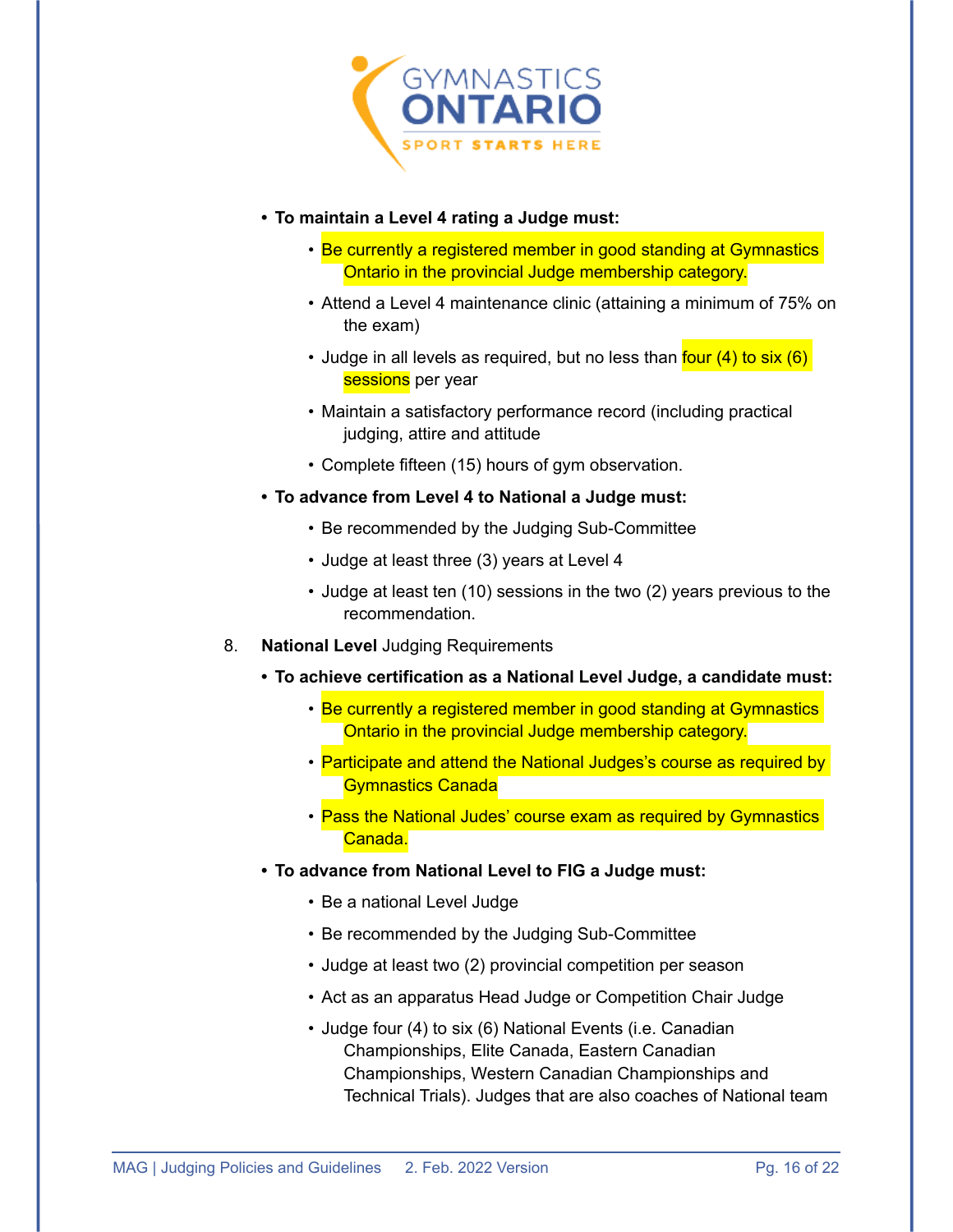

- **• To maintain a Level 4 rating a Judge must:**
	- Be currently a registered member in good standing at Gymnastics Ontario in the provincial Judge membership category.
	- Attend a Level 4 maintenance clinic (attaining a minimum of 75% on the exam)
	- Judge in all levels as required, but no less than four (4) to six (6) sessions per year
	- Maintain a satisfactory performance record (including practical judging, attire and attitude
	- Complete fifteen (15) hours of gym observation.
- **• To advance from Level 4 to National a Judge must:**
	- Be recommended by the Judging Sub-Committee
	- Judge at least three (3) years at Level 4
	- Judge at least ten (10) sessions in the two (2) years previous to the recommendation.
- 8. **National Level** Judging Requirements
	- **• To achieve certification as a National Level Judge, a candidate must:** 
		- Be currently a registered member in good standing at Gymnastics Ontario in the provincial Judge membership category.
		- Participate and attend the National Judges's course as required by Gymnastics Canada
		- Pass the National Judes' course exam as required by Gymnastics Canada.
	- **• To advance from National Level to FIG a Judge must:**
		- Be a national Level Judge
		- Be recommended by the Judging Sub-Committee
		- Judge at least two (2) provincial competition per season
		- Act as an apparatus Head Judge or Competition Chair Judge
		- Judge four (4) to six (6) National Events (i.e. Canadian Championships, Elite Canada, Eastern Canadian Championships, Western Canadian Championships and Technical Trials). Judges that are also coaches of National team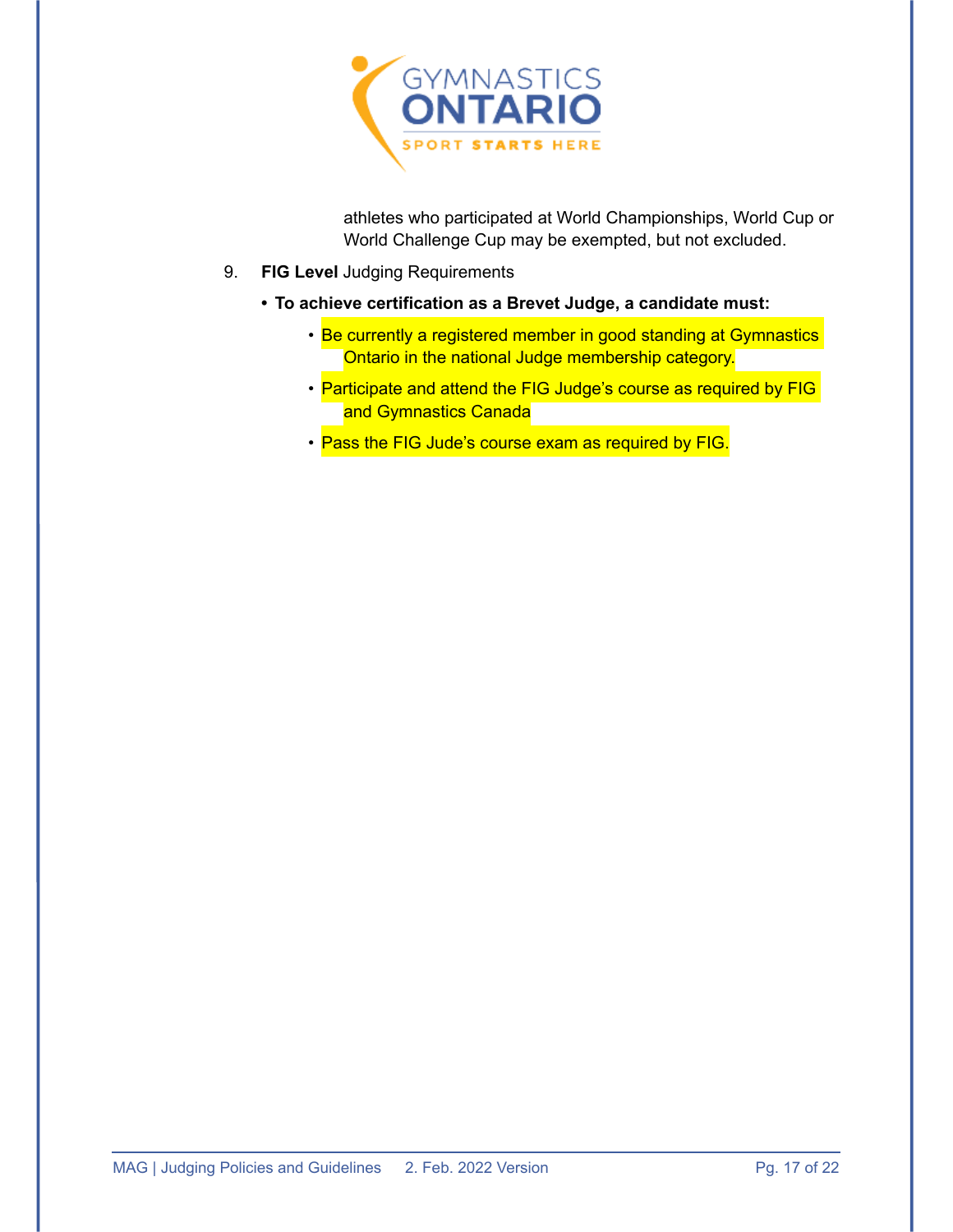

athletes who participated at World Championships, World Cup or World Challenge Cup may be exempted, but not excluded.

- 9. **FIG Level** Judging Requirements
	- **• To achieve certification as a Brevet Judge, a candidate must:** 
		- Be currently a registered member in good standing at Gymnastics Ontario in the national Judge membership category.
		- Participate and attend the FIG Judge's course as required by FIG and Gymnastics Canada
		- Pass the FIG Jude's course exam as required by FIG.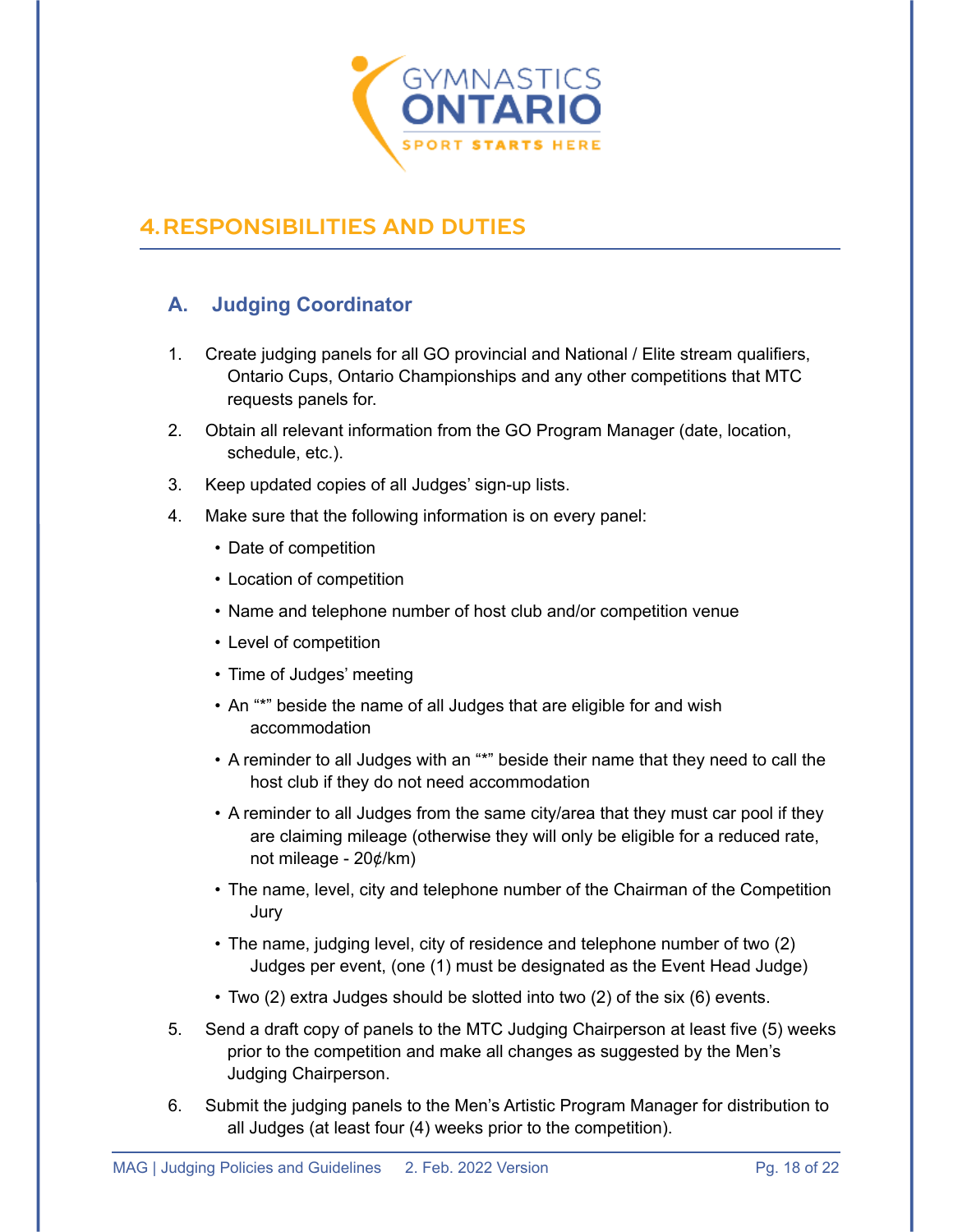

## <span id="page-19-0"></span>**4.RESPONSIBILITIES AND DUTIES**

#### <span id="page-19-1"></span>**A. Judging Coordinator**

- 1. Create judging panels for all GO provincial and National / Elite stream qualifiers, Ontario Cups, Ontario Championships and any other competitions that MTC requests panels for.
- 2. Obtain all relevant information from the GO Program Manager (date, location, schedule, etc.).
- 3. Keep updated copies of all Judges' sign-up lists.
- 4. Make sure that the following information is on every panel:
	- Date of competition
	- Location of competition
	- Name and telephone number of host club and/or competition venue
	- Level of competition
	- Time of Judges' meeting
	- An "\*" beside the name of all Judges that are eligible for and wish accommodation
	- A reminder to all Judges with an "\*" beside their name that they need to call the host club if they do not need accommodation
	- A reminder to all Judges from the same city/area that they must car pool if they are claiming mileage (otherwise they will only be eligible for a reduced rate, not mileage - 20¢/km)
	- The name, level, city and telephone number of the Chairman of the Competition Jury
	- The name, judging level, city of residence and telephone number of two (2) Judges per event, (one (1) must be designated as the Event Head Judge)
	- Two (2) extra Judges should be slotted into two (2) of the six (6) events.
- 5. Send a draft copy of panels to the MTC Judging Chairperson at least five (5) weeks prior to the competition and make all changes as suggested by the Men's Judging Chairperson.
- 6. Submit the judging panels to the Men's Artistic Program Manager for distribution to all Judges (at least four (4) weeks prior to the competition).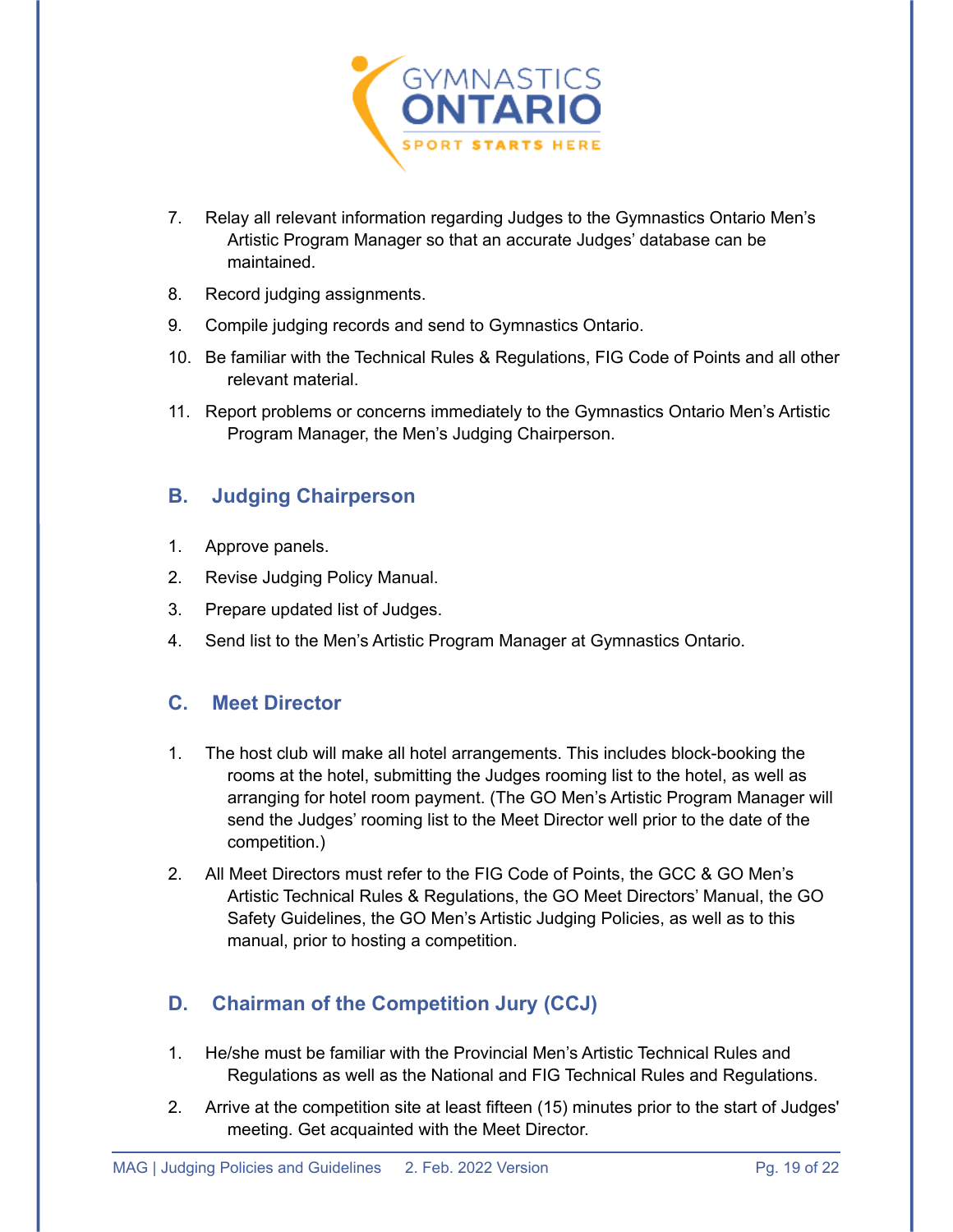

- 7. Relay all relevant information regarding Judges to the Gymnastics Ontario Men's Artistic Program Manager so that an accurate Judges' database can be maintained.
- 8. Record judging assignments.
- 9. Compile judging records and send to Gymnastics Ontario.
- 10. Be familiar with the Technical Rules & Regulations, FIG Code of Points and all other relevant material.
- 11. Report problems or concerns immediately to the Gymnastics Ontario Men's Artistic Program Manager, the Men's Judging Chairperson.

#### <span id="page-20-0"></span>**B. Judging Chairperson**

- 1. Approve panels.
- 2. Revise Judging Policy Manual.
- 3. Prepare updated list of Judges.
- 4. Send list to the Men's Artistic Program Manager at Gymnastics Ontario.

#### <span id="page-20-1"></span>**C. Meet Director**

- 1. The host club will make all hotel arrangements. This includes block-booking the rooms at the hotel, submitting the Judges rooming list to the hotel, as well as arranging for hotel room payment. (The GO Men's Artistic Program Manager will send the Judges' rooming list to the Meet Director well prior to the date of the competition.)
- 2. All Meet Directors must refer to the FIG Code of Points, the GCC & GO Men's Artistic Technical Rules & Regulations, the GO Meet Directors' Manual, the GO Safety Guidelines, the GO Men's Artistic Judging Policies, as well as to this manual, prior to hosting a competition.

#### <span id="page-20-2"></span>**D. Chairman of the Competition Jury (CCJ)**

- 1. He/she must be familiar with the Provincial Men's Artistic Technical Rules and Regulations as well as the National and FIG Technical Rules and Regulations.
- 2. Arrive at the competition site at least fifteen (15) minutes prior to the start of Judges' meeting. Get acquainted with the Meet Director.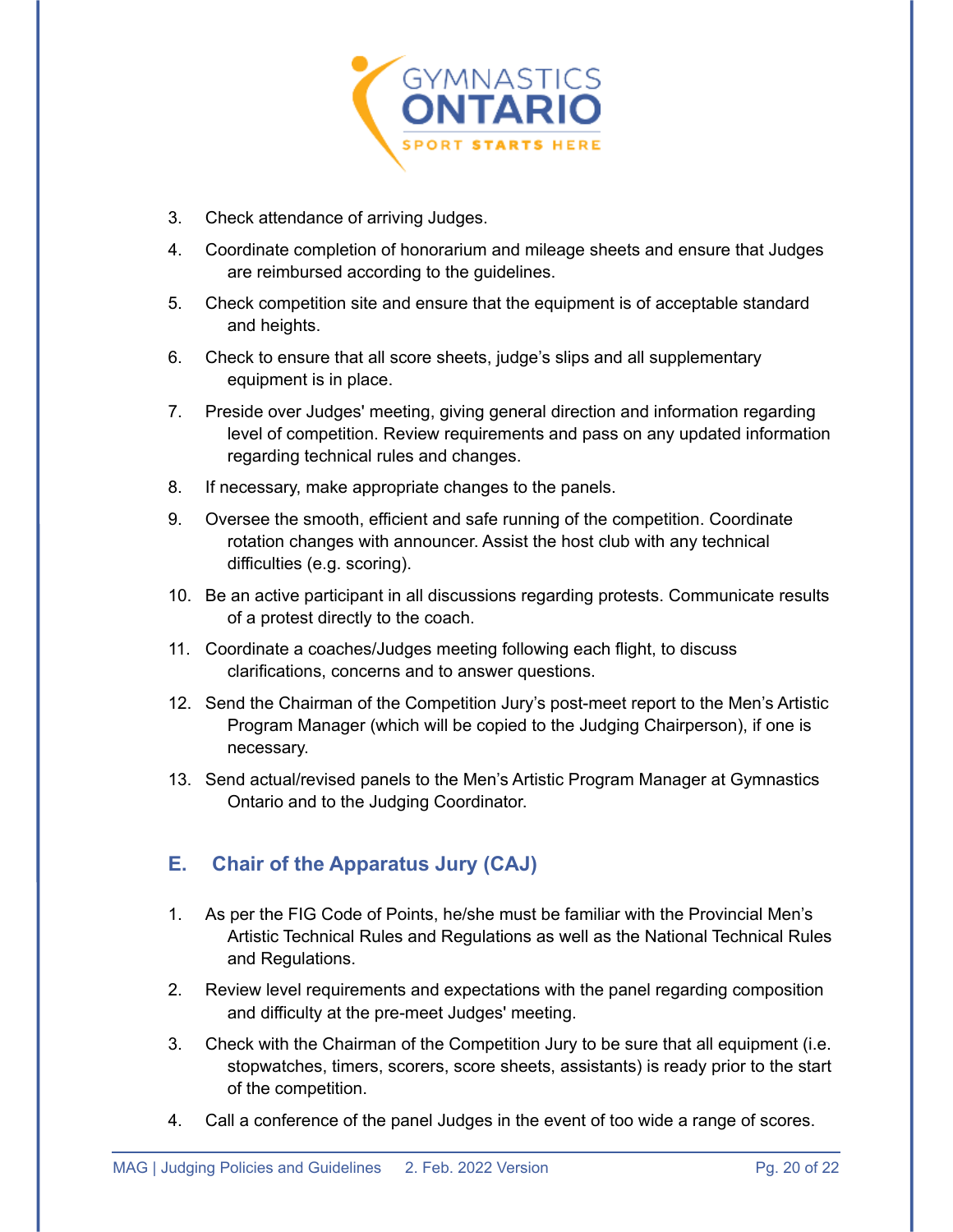

- 3. Check attendance of arriving Judges.
- 4. Coordinate completion of honorarium and mileage sheets and ensure that Judges are reimbursed according to the guidelines.
- 5. Check competition site and ensure that the equipment is of acceptable standard and heights.
- 6. Check to ensure that all score sheets, judge's slips and all supplementary equipment is in place.
- 7. Preside over Judges' meeting, giving general direction and information regarding level of competition. Review requirements and pass on any updated information regarding technical rules and changes.
- 8. If necessary, make appropriate changes to the panels.
- 9. Oversee the smooth, efficient and safe running of the competition. Coordinate rotation changes with announcer. Assist the host club with any technical difficulties (e.g. scoring).
- 10. Be an active participant in all discussions regarding protests. Communicate results of a protest directly to the coach.
- 11. Coordinate a coaches/Judges meeting following each flight, to discuss clarifications, concerns and to answer questions.
- 12. Send the Chairman of the Competition Jury's post-meet report to the Men's Artistic Program Manager (which will be copied to the Judging Chairperson), if one is necessary.
- 13. Send actual/revised panels to the Men's Artistic Program Manager at Gymnastics Ontario and to the Judging Coordinator.

#### <span id="page-21-0"></span>**E. Chair of the Apparatus Jury (CAJ)**

- 1. As per the FIG Code of Points, he/she must be familiar with the Provincial Men's Artistic Technical Rules and Regulations as well as the National Technical Rules and Regulations.
- 2. Review level requirements and expectations with the panel regarding composition and difficulty at the pre-meet Judges' meeting.
- 3. Check with the Chairman of the Competition Jury to be sure that all equipment (i.e. stopwatches, timers, scorers, score sheets, assistants) is ready prior to the start of the competition.
- 4. Call a conference of the panel Judges in the event of too wide a range of scores.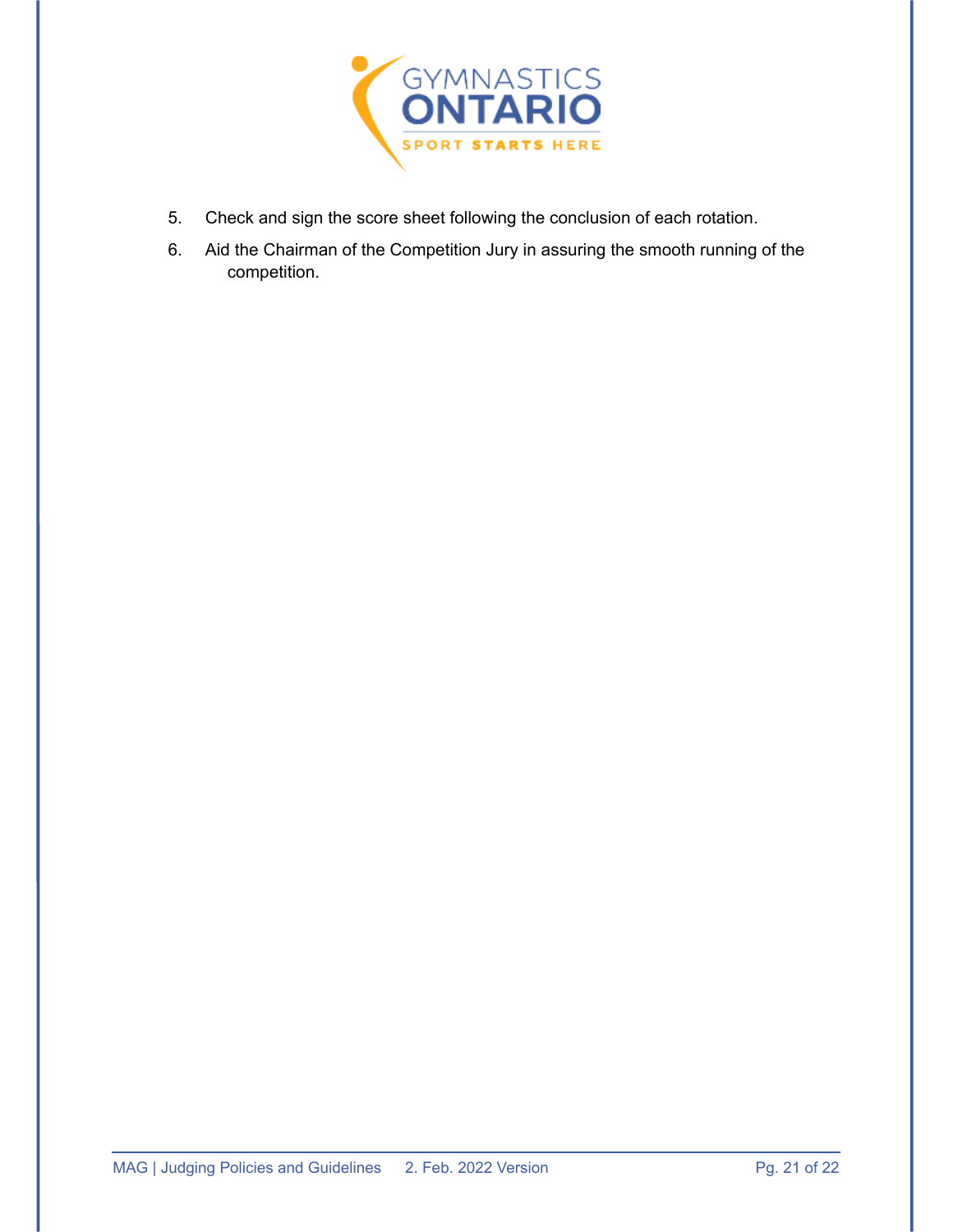

- 5. Check and sign the score sheet following the conclusion of each rotation.
- 6. Aid the Chairman of the Competition Jury in assuring the smooth running of the competition.